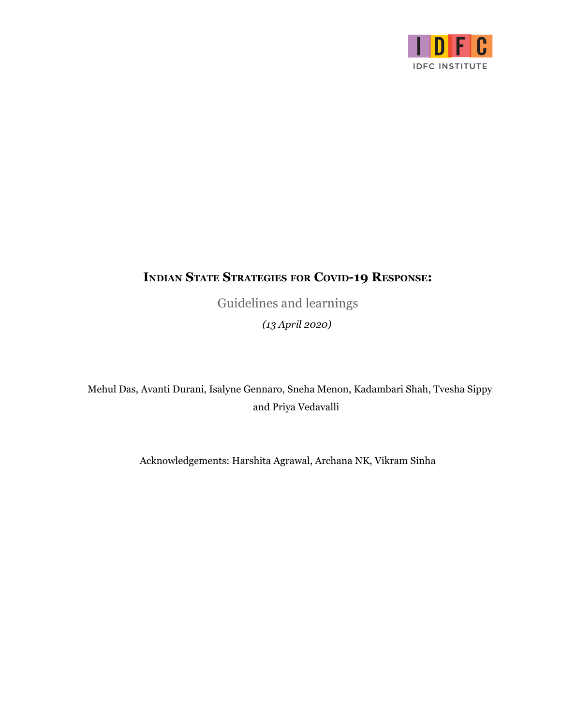

## **INDIAN STATE STRATEGIES FOR COVID-19 RESPONSE:**

Guidelines and learnings

*(13 April 2020)*

Mehul Das, Avanti Durani, Isalyne Gennaro, Sneha Menon, Kadambari Shah, Tvesha Sippy and Priya Vedavalli

Acknowledgements: Harshita Agrawal, Archana NK, Vikram Sinha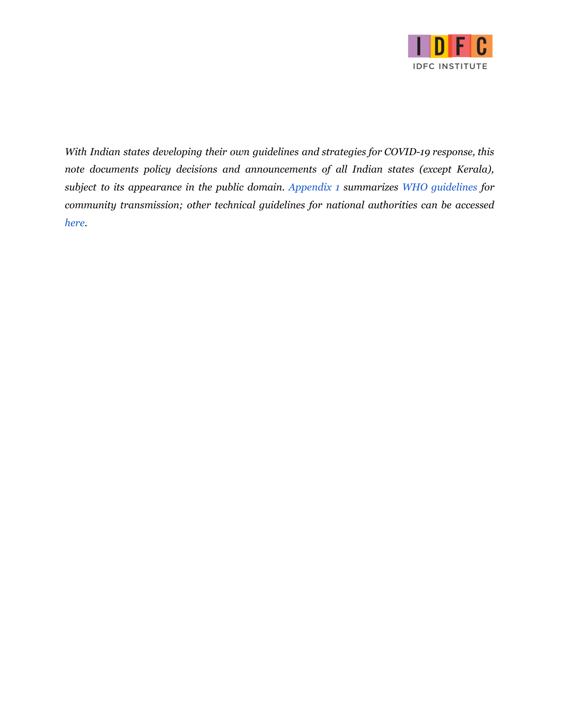

*With Indian states developing their own guidelines and strategies for COVID-19 response, this note documents policy decisions and announcements of all Indian states (except Kerala), subject to its appearance in the public domain. Appendix 1 summarizes WHO [guidelines](https://www.who.int/publications-detail/responding-to-community-spread-of-covid-19) for community transmission; other technical guidelines for national authorities can be accessed [here](https://www.who.int/emergencies/diseases/novel-coronavirus-2019/technical-guidance).*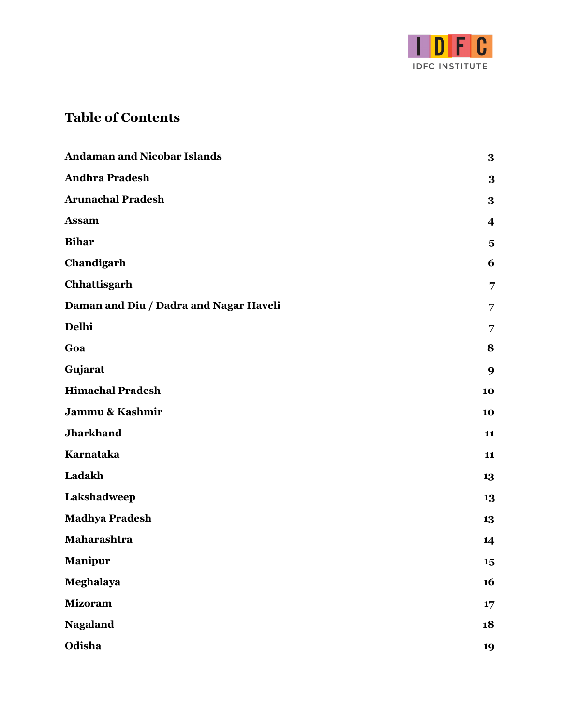

# **Table of Contents**

| <b>Andaman and Nicobar Islands</b>     | 3                       |
|----------------------------------------|-------------------------|
| <b>Andhra Pradesh</b>                  | $\bf{3}$                |
| <b>Arunachal Pradesh</b>               | $\bf{3}$                |
| <b>Assam</b>                           | $\overline{\mathbf{4}}$ |
| <b>Bihar</b>                           | 5                       |
| Chandigarh                             | 6                       |
| Chhattisgarh                           | 7                       |
| Daman and Diu / Dadra and Nagar Haveli | 7                       |
| Delhi                                  | 7                       |
| Goa                                    | 8                       |
| Gujarat                                | 9                       |
| <b>Himachal Pradesh</b>                | 10                      |
| Jammu & Kashmir                        | 10                      |
| <b>Jharkhand</b>                       | 11                      |
| Karnataka                              | 11                      |
| Ladakh                                 | 13                      |
| Lakshadweep                            | 13                      |
| <b>Madhya Pradesh</b>                  | 13                      |
| Maharashtra                            | 14                      |
| <b>Manipur</b>                         | 15                      |
| Meghalaya                              | 16                      |
| <b>Mizoram</b>                         | 17                      |
| <b>Nagaland</b>                        | 18                      |
| Odisha                                 | 19                      |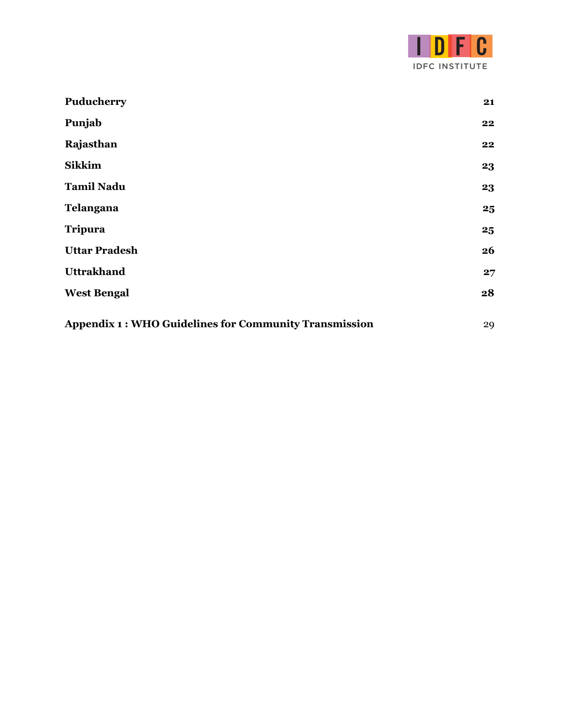

| Puducherry                                                   | 21              |
|--------------------------------------------------------------|-----------------|
| Punjab                                                       | 22              |
| Rajasthan                                                    | 22              |
| <b>Sikkim</b>                                                | 23              |
| <b>Tamil Nadu</b>                                            | 23              |
| Telangana                                                    | $25\phantom{.}$ |
| <b>Tripura</b>                                               | $25\phantom{.}$ |
| <b>Uttar Pradesh</b>                                         | 26              |
| <b>Uttrakhand</b>                                            | 27              |
| <b>West Bengal</b>                                           | 28              |
| <b>Appendix 1: WHO Guidelines for Community Transmission</b> | 29              |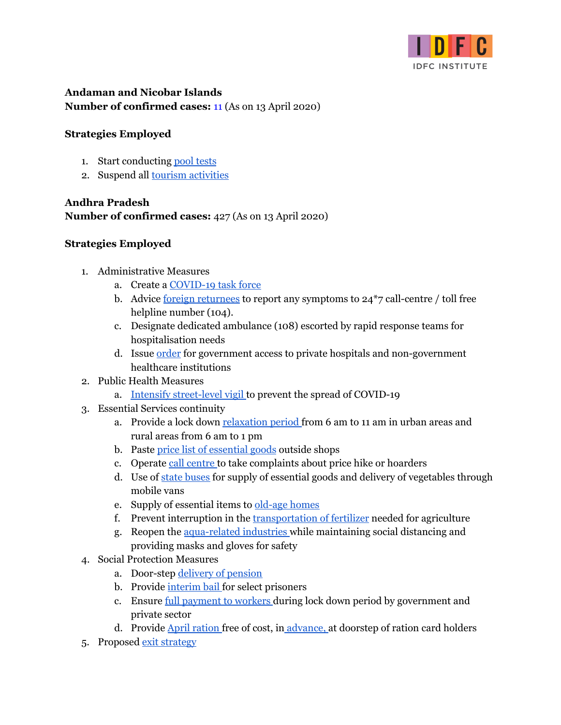

## <span id="page-4-0"></span>**Andaman and Nicobar Islands Number of confirmed cases:** 11 (As on 13 April 2020)

#### **Strategies Employed**

- 1. Start conducting pool [tests](https://theprint.in/india/andaman-nicobar-has-started-conducting-pool-tests-for-covid-19-first-in-the-country/400112/)
- 2. Suspend all **tourism** [activities](https://www.livemint.com/news/india/covid-19-andaman-and-nicobar-islands-suspend-tourism-activities-for-ten-days-11584362261957.html)

## <span id="page-4-1"></span>**Andhra Pradesh**

**Number of confirmed cases:** [427](https://www.mohfw.gov.in/) (As on 13 April 2020)

- 1. Administrative Measures
	- a. Create a [COVID-19](https://www.aninews.in/news/national/general-news/andhra-pradesh-govt-sets-up-covid-19-task-force20200328200134/) task force
	- b. Advice <u>foreign [returnees](https://timesofindia.indiatimes.com/city/vijayawada/covid-19-survey-nearly-94-andhra-pradesh-homes-covered/articleshow/74755560.cms)</u> to report any symptoms to 24<sup>\*</sup>7 call-centre / toll free helpline number (104).
	- c. Designate dedicated ambulance (108) escorted by rapid response teams for hospitalisation needs
	- d. Issue [order](https://www.newindianexpress.com/states/andhra-pradesh/2020/mar/31/covid-19-andhra-pradesh-government-to-take-over-private-hospitals-if-needed-2123802.html) for government access to private hospitals and non-government healthcare institutions
- 2. Public Health Measures
	- a. Intensify [street-level](https://www.aninews.in/news/national/general-news/andhra-pradesh-govt-sets-up-covid-19-task-force20200328200134/) vigil to prevent the spread of COVID-19
- 3. Essential Services continuity
	- a. Provide a lock down [relaxation](https://www.indiatoday.in/india/story/coronavirus-in-india-lockdown-relaxation-period-reduced-in-andhra-pradesh-1661024-2020-03-29) period from 6 am to 11 am in urban areas and rural areas from 6 am to 1 pm
	- b. Paste price list of [essential](https://www.indiatoday.in/india/story/coronavirus-in-india-lockdown-relaxation-period-reduced-in-andhra-pradesh-1661024-2020-03-29) goods outside shops
	- c. Operate call [centre](https://www.indiatoday.in/india/story/coronavirus-in-india-lockdown-relaxation-period-reduced-in-andhra-pradesh-1661024-2020-03-29) to take complaints about price hike or hoarders
	- d. Use of state [buses](https://www.thehindu.com/news/national/andhra-pradesh/rtc-buses-converted-into-mobile-rythu-bazaars-in-east-godavari/article31272327.ece) for supply of essential goods and delivery of vegetables through mobile vans
	- e. Supply of essential items to [old-age](https://www.indiatoday.in/india/story/coronavirus-in-india-lockdown-relaxation-period-reduced-in-andhra-pradesh-1661024-2020-03-29) homes
	- f. Prevent interruption in the [transportation](https://www.indiatoday.in/india/story/coronavirus-in-india-lockdown-relaxation-period-reduced-in-andhra-pradesh-1661024-2020-03-29) of fertilizer needed for agriculture
	- g. Reopen the [aqua-related](https://www.indiatoday.in/india/story/coronavirus-in-india-lockdown-relaxation-period-reduced-in-andhra-pradesh-1661024-2020-03-29) industries while maintaining social distancing and providing masks and gloves for safety
- 4. Social Protection Measures
	- a. Door-step [delivery](https://twitter.com/AndhraPradeshCM/status/1243907796615090177?s=20) of pension
	- b. Provide [interim](https://www.barandbench.com/news/litigation/coronavirus-andhra-pradesh-hc-extends-interim-orders-directs-provision-of-safety-gear-for-health-workers-protection-of-the-poor-and-more) bail for select prisoners
	- c. Ensure full [payment](https://www.business-standard.com/article/news-ani/make-full-payment-to-workers-employees-during-lockdown-period-andhra-govt-120032401212_1.html) to workers during lock down period by government and private sector
	- d. Provide **April [ration](https://www.deccanherald.com/national/south/andhra-pradesh-govt-to-distribute-ration-cash-relief-at-doorsteps-817603.html)** free of cost, in *advance*, at doorstep of ration card holders
- 5. Proposed exit [strategy](https://filterkaapilive.com/2020/04/07/andhra-pradesh-lockdown-exit-strategy-post-14-april/)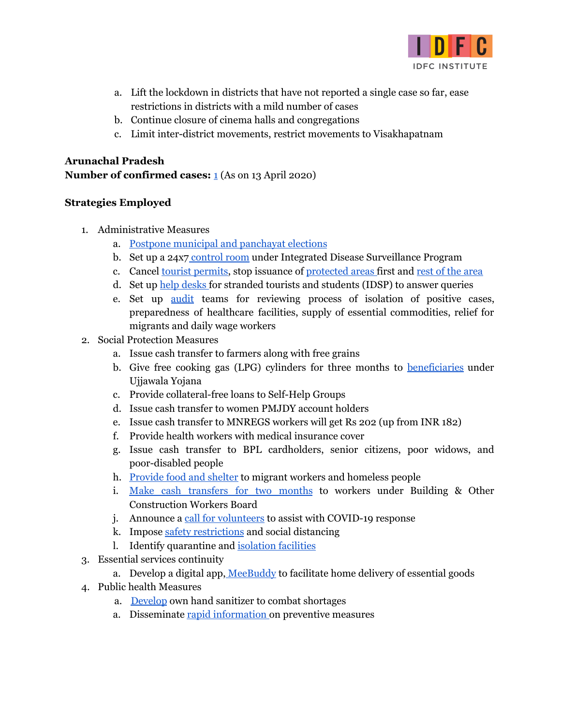

- a. Lift the lockdown in districts that have not reported a single case so far, ease restrictions in districts with a mild number of cases
- b. Continue closure of cinema halls and congregations
- c. Limit inter-district movements, restrict movements to Visakhapatnam

## <span id="page-5-0"></span>**Arunachal Pradesh Number of confirmed cases:** [1](https://www.mohfw.gov.in/) (As on 13 April 2020)

- 1. Administrative Measures
	- a. Postpone municipal and [panchayat](https://www.eastmojo.com/coronavirus-updates/2020/03/21/covid-19-arunachal-to-put-on-hold-municipal-panchayat-elections) elections
	- b. Set up a 24x7 [control](https://www.sentinelassam.com/north-east-india-news/arunachal-news/arunachal-government-taking-all-measures-for-coronavirus-alo-libang/) room under Integrated Disease Surveillance Program
	- c. Cancel tourist [permits](https://prsindia.org/files/covid19/notifications/598.AR_Cancellation_of_ILP_Mar_19.pdf), stop issuance of [protected](https://prsindia.org/files/covid19/notifications/610.AR_PAP_Mar_6.jpg) areas first and rest of the [area](https://prsindia.org/files/covid19/notifications/609.AR_ILP_Suspended_Mar_16.jpg)
	- d. Set up help [desks](https://prsindia.org/files/covid19/notifications/607.AR_Help_Desks_Mar_18.jpg) for stranded tourists and students (IDSP) to answer queries
	- e. Set up [audit](https://prsindia.org/files/covid19/notifications/1207.AR_Field_Audit_Team_Apr%201.pdf) teams for reviewing process of isolation of positive cases, preparedness of healthcare facilities, supply of essential commodities, relief for migrants and daily wage workers
- 2. Social Protection Measures
	- a. Issue cash transfer to farmers along with free grains
	- b. Give free cooking gas (LPG) cylinders for three months to **[beneficiaries](https://economictimes.indiatimes.com/news/politics-and-nation/covid-19-assam-cm-urges-people-with-folded-hands-to-stay-at-home/articleshow/74850935.cms?from=mdr)** under Ujjawala Yojana
	- c. Provide collateral-free loans to Self-Help Groups
	- d. Issue cash transfer to women PMJDY account holders
	- e. Issue cash transfer to MNREGS workers will get Rs 202 (up from INR 182)
	- f. Provide health workers with medical insurance cover
	- g. Issue cash transfer to BPL cardholders, senior citizens, poor widows, and poor-disabled people
	- h. [Provide](https://prsindia.org/files/covid19/notifications/605.AR_Food_and_Shelter_Mar_29.jpg) food and shelter to migrant workers and homeless people
	- i. Make cash [transfers](https://prsindia.org/files/covid19/notifications/1093.AR_Fin_Aid_Building_Workers_Mar%2031.jpg) for two months to workers under Building & Other Construction Workers Board
	- j. Announce a call for [volunteers](https://prsindia.org/files/covid19/notifications/1206.AR_Volunteer_Request_Mar%2031.pdf) to assist with COVID-19 response
	- k. Impose safety [restrictions](https://prsindia.org/files/covid19/notifications/601.AR_Complete_Safety_Restrictions_Mar_22.pdf) and social distancing
	- l. Identify quarantine and [isolation](https://prsindia.org/files/covid19/notifications/600.AR_Quarantine_Shelters_Mar_20.pdf) facilities
- 3. Essential services continuity
	- a. Develop a digital app, [MeeBuddy](https://www.eastmojo.com/coronavirus-updates/2020/03/26/covid19-how-home-delivery-app-is-keeping-arunachal-locals-indoors) to facilitate home delivery of essential goods
- 4. Public health Measures
	- a. [Develop](https://www.eastmojo.com/coronavirus-updates/2020/03/21/covid-19-arunachals-rajiv-gandhi-univ-ready-with-own-sanitizers) own hand sanitizer to combat shortages
	- a. Disseminate rapid [information](https://arunachal24.in/coronavirus-crisis-arunachal-cm-holds-video-conference-with-dcs-sps-and-dmos/) on preventive measures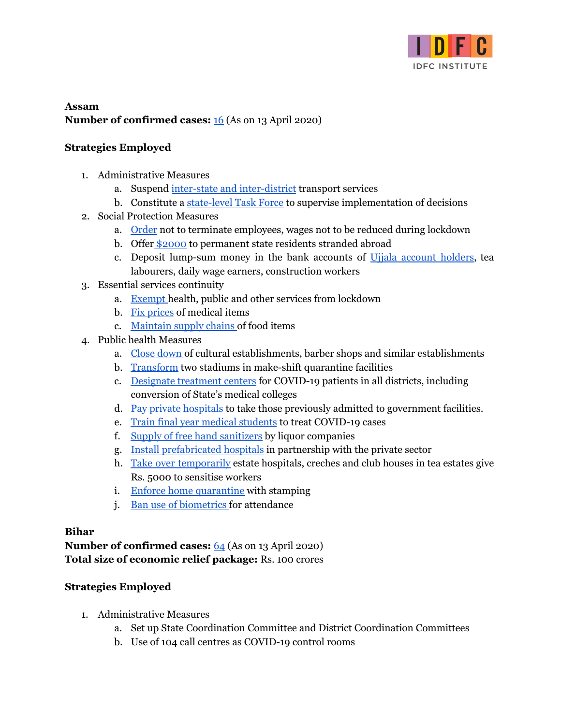

<span id="page-6-0"></span>**Assam Number of confirmed cases:** [16](https://www.mohfw.gov.in/) (As on 13 April 2020)

#### **Strategies Employed**

- 1. Administrative Measures
	- a. Suspend inter-state and [inter-district](https://www.livemint.com/news/india/coronavirus-lockdown-declared-in-assam-manipur-tripura-arunachal-nagaland-and-mizoram-11585020197207.html) transport services
	- b. Constitute a [state-level](https://prsindia.org/files/covid19/notifications/647.AS_stateTF_Mar21.pdf) Task Force to supervise implementation of decisions
- 2. Social Protection Measures
	- a. [Order](https://drive.google.com/file/d/1gvW1A3JQ_1E2HJRNJ-C6HZ9c_02IcUNw/view) not to terminate employees, wages not to be reduced during lockdown
	- b. Offer [\\$2000](https://www.theweek.in/news/india/2020/03/21/coronavirus-assam-govt-to-provide-dollar-2000-to-its-residents-stranded-abroad.html) to permanent state residents stranded abroad
	- c. Deposit lump-sum money in the bank accounts of Ujjala [account](https://www.sentinelassam.com/top-headlines/assam-fast-entering-a-tough-economic-phase-owing-to-coronavirus-himanta-biswa-sarma/) holders, tea labourers, daily wage earners, construction workers
- 3. Essential services continuity
	- a. [Exempt](https://prsindia.org/files/covid19/notifications/640.AS_fooditems_Mar26.pdf) health, public and other services from lockdown
	- b. Fix [prices](https://prsindia.org/files/covid19/notifications/648.AS_surgical&protective_masks_Mar20.pdf) of medical items
	- c. [Maintain](https://prsindia.org/files/covid19/notifications/640.AS_fooditems_Mar26.pdf) supply chains of food items
- 4. Public health Measures
	- a. Close [down](https://prsindia.org/files/covid19/notifications/652.AS_closingestablishments_Mar19.pdf) of cultural establishments, barber shops and similar establishments
	- b. [Transform](https://www.ndtv.com/india-news/coronavirus-india-focus-on-tests-preparation-how-assam-is-coping-with-covid-19-outbreak-2202668) two stadiums in make-shift quarantine facilities
	- c. [Designate](https://www.ndtv.com/india-news/coronavirus-india-focus-on-tests-preparation-how-assam-is-coping-with-covid-19-outbreak-2202668) treatment centers for COVID-19 patients in all districts, including conversion of State's medical colleges
	- d. Pay private [hospitals](https://www.ndtv.com/india-news/coronavirus-india-focus-on-tests-preparation-how-assam-is-coping-with-covid-19-outbreak-2202668) to take those previously admitted to government facilities.
	- e. Train final year medical [students](https://www.ndtv.com/india-news/coronavirus-india-focus-on-tests-preparation-how-assam-is-coping-with-covid-19-outbreak-2202668) to treat COVID-19 cases
	- f. Supply of free hand [sanitizers](https://www.indiatoday.in/india/story/coronavirus-assam-liquor-companies-supply-crore-bottles-hand-sanitisers-free-cost-1660810-2020-03-28) by liquor companies
	- g. Install [prefabricated](https://www.newslaundry.com/2020/03/28/as-states-show-the-way-to-fight-covid-19-federalism-in-india-gets-a-much-needed-boost) hospitals in partnership with the private sector
	- h. Take over [temporarily](https://www.business-standard.com/article/economy-policy/covid-19-assam-govt-takes-over-health-infra-in-tea-estates-enforces-sop-120032300738_1.html) estate hospitals, creches and club houses in tea estates give Rs. 5000 to sensitise workers
	- i. Enforce home [quarantine](https://prsindia.org/files/covid19/notifications/645.AS_stamping_Mar21.pdf) with stamping
	- j. Ban use of [biometrics](https://prsindia.org/files/covid19/notifications/653.AS_biometric_Mar16.pdf) for attendance

#### <span id="page-6-1"></span>**Bihar**

**Number of confirmed cases:** [64](https://www.mohfw.gov.in/) (As on 13 April 2020) **Total size of economic relief package:** Rs. 100 crores

- 1. Administrative Measures
	- a. Set up State Coordination Committee and District Coordination Committees
	- b. Use of 104 call centres as COVID-19 control rooms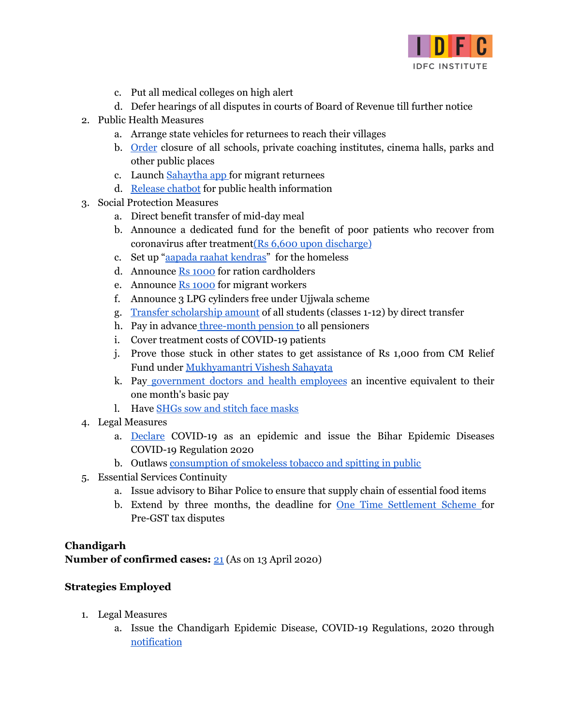

- c. Put all medical colleges on high alert
- d. Defer hearings of all disputes in courts of Board of Revenue till further notice
- 2. Public Health Measures
	- a. Arrange state vehicles for returnees to reach their villages
	- b. [Order](https://economictimes.indiatimes.com/news/politics-and-nation/no-covid-19-case-in-bihar-till-now/articleshow/74741111.cms?from=mdr) closure of all schools, private coaching institutes, cinema halls, parks and other public places
	- c. Launch [Sahaytha](https://www.businesstoday.in/current/economy-politics/bihar-govt-launches-corona-sahayata-app-here-all-you-need-to-know/story/400461.html) app for migrant returnees
	- d. [Release](https://www.hindustantimes.com/tech/covid-19-app-chatbot-launched-for-people-in-bihar/story-291GpnvSHza27YcqqCuw5K.html) chatbot for public health information
- 3. Social Protection Measures
	- a. Direct benefit transfer of mid-day meal
	- b. Announce a dedicated fund for the benefit of poor patients who recover from coronavirus after treatment(Rs 6,600 upon [discharge\)](https://www.deccanherald.com/national/west/covid-19-bihar-to-boost-financial-logistical-support-818458.html)
	- c. Set up "aapada raahat [kendras"](https://www.deccanherald.com/national/west/covid-19-bihar-to-boost-financial-logistical-support-818458.html) for the homeless
	- d. Announce Rs [1000](https://www.financialexpress.com/lifestyle/health/coronavirus-in-bihar-latest-updates-on-coronavirus-covid-19-cases-in-bihar-count-news/1910763/) for ration cardholders
	- e. Announce Rs [1000](https://www.livemint.com/news/india/bihar-transfers-rs1-000-each-to-284-000-migrant-workers-11586340128376.html) for migrant workers
	- f. Announce 3 LPG cylinders free under Ujjwala scheme
	- g. Transfer [scholarship](https://theprint.in/india/bihar-cm-nitish-kumar-announces-free-ration-for-cardholders-during-coronavirus-lockdown/386633/) amount of all students (classes 1-12) by direct transfer
	- h. Pay in advance [three-month](https://theprint.in/india/bihar-cm-nitish-kumar-announces-free-ration-for-cardholders-during-coronavirus-lockdown/386633/) pension to all pensioners
	- i. Cover treatment costs of COVID-19 patients
	- j. Prove those stuck in other states to get assistance of Rs 1,000 from CM Relief Fund under [Mukhyamantri](https://timesofindia.indiatimes.com/city/patna/nitish-kumar-transfers-rs-10-35-cr-in-bank-ac-of-1-03-lakh-workers-from-bihar/articleshow/75015602.cms) Vishesh Sahayata
	- k. Pay [government](https://www.india.com/news/india/bihar-families-to-get-free-ration-for-1-month-pensioners-will-get-3-months-pension-in-advance-3978920/) doctors and health employees an incentive equivalent to their one month's basic pay
	- l. Have SHGs sow and stitch face [masks](https://www.businesstoday.in/current/economy-politics/coronavirus-govt-turns-to-village-self-help-groups-for-mass-production-of-face-masks/story/400162.html)
- 4. Legal Measures
	- a. [Declare](https://www.thehindu.com/news/national/bihar-govt-declares-covid-19-an-epidemic/article31097333.ece) COVID-19 as an epidemic and issue the Bihar Epidemic Diseases COVID-19 Regulation 2020
	- b. Outlaws [consumption](https://www.indiatoday.in/india/story/coronavirus-bihar-outlaws-consumption-of-smokeless-tobacco-spitting-in-public-1666642-2020-04-14) of smokeless tobacco and spitting in public
- 5. Essential Services Continuity
	- a. Issue advisory to Bihar Police to ensure that supply chain of essential food items
	- b. Extend by three months, the deadline for One Time [Settlement](https://timesofindia.indiatimes.com/city/patna/govt-extends-ots-scheme-for-three-months/articleshow/74799394.cms) Scheme for Pre-GST tax disputes

#### <span id="page-7-0"></span>**Chandigarh**

**Number of confirmed cases:** [21](https://www.mohfw.gov.in/) (As on 13 April 2020)

- 1. Legal Measures
	- a. Issue the Chandigarh Epidemic Disease, COVID-19 Regulations, 2020 through [notification](http://chdcovid19.in/uploads/1584777113-health20-01.pdf)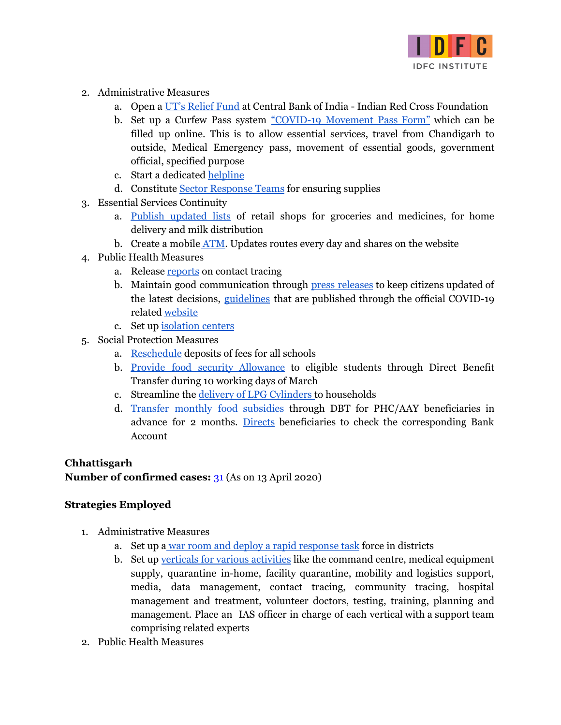

- 2. Administrative Measures
	- a. Open a UT's [Relief](http://chandigarh.gov.in/pdf/bank-covid19.pdf) Fund at Central Bank of India Indian Red Cross Foundation
	- b. Set up a Curfew Pass system ["COVID-19](http://admser.chd.nic.in/dpc/) Movement Pass Form" which can be filled up online. This is to allow essential services, travel from Chandigarh to outside, Medical Emergency pass, movement of essential goods, government official, specified purpose
	- c. Start a dedicated [helpline](http://chandigarh.gov.in/health_covid19.htm)
	- d. Constitute Sector [Response](http://chdcovid19.in/uploads/1585224270-Order_of_Sector_Response_Teams_for_Public_Convenience_(1).pdf) Teams for ensuring supplies
- 3. Essential Services Continuity
	- a. Publish [updated](http://chandigarh.gov.in/2health_covid19.htm) lists of retail shops for groceries and medicines, for home delivery and milk distribution
	- b. Create a mobile [ATM.](http://chandigarh.gov.in/pdf/bank-atm30320.pdf) Updates routes every day and shares on the website
- 4. Public Health Measures
	- a. Release [reports](http://chandigarh.gov.in/pdf/mc20-listqrnt.pdf) on contact tracing
	- b. Maintain good communication through press [releases](http://chandigarh.gov.in/pdf/dpr20-press-generalinfo.pdf) to keep citizens updated of the latest decisions, [guidelines](http://chdcovid19.in/index.php/page/guidelines) that are published through the official COVID-19 related [website](http://chdcovid19.in/)
	- c. Set up [isolation](http://chdcovid19.in/) centers
- 5. Social Protection Measures
	- a. [Reschedule](http://chandigarh.gov.in/pdf/dhe20-7820.pdf) deposits of fees for all schools
	- b. Provide food security [Allowance](http://chandigarh.gov.in/pdf/dpr20-press-midmeal.pdf) to eligible students through Direct Benefit Transfer during 10 working days of March
	- c. Streamline the delivery of LPG [Cylinders](http://chandigarh.gov.in/pdf/dpr20-press-gas2.pdf) to households
	- d. Transfer monthly food [subsidies](http://chdcovid19.in/uploads/1585054106-DBT_Press_Note.pdf) through DBT for PHC/AAY beneficiaries in advance for 2 months. [Directs](https://resident.uidai.gov.in/bank-mapper) beneficiaries to check the corresponding Bank Account

## <span id="page-8-0"></span>**Chhattisgarh**

**Number of confirmed cases:** 31 (As on 13 April 2020)

- 1. Administrative Measures
	- a. Set up a war room and deploy a rapid [response](https://www.thehindu.com/news/national/starting-early-gave-chhattisgarh-a-head-start-in-tackling-covid-19-outbreak-says-state-health-minister/article31279538.ece) task force in districts
	- b. Set up verticals for various [activities](https://www.thehindu.com/news/national/starting-early-gave-chhattisgarh-a-head-start-in-tackling-covid-19-outbreak-says-state-health-minister/article31279538.ece) like the command centre, medical equipment supply, quarantine in-home, facility quarantine, mobility and logistics support, media, data management, contact tracing, community tracing, hospital management and treatment, volunteer doctors, testing, training, planning and management. Place an IAS officer in charge of each vertical with a support team comprising related experts
- 2. Public Health Measures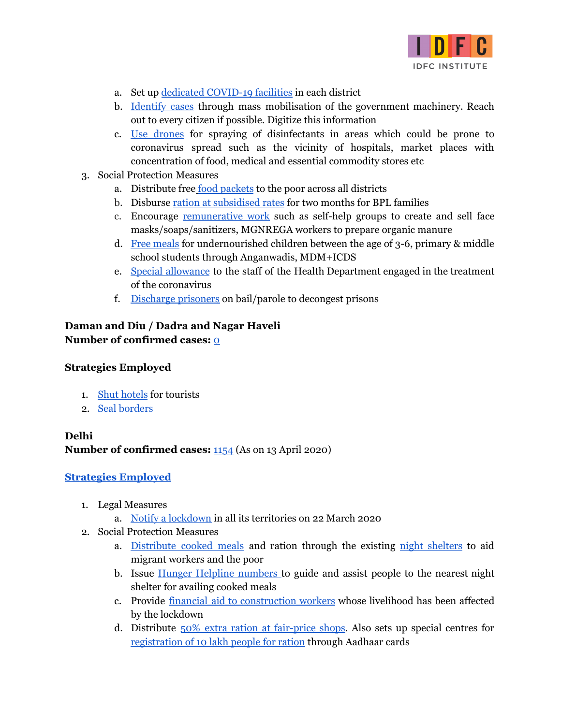

- a. Set up dedicated [COVID-19](https://www.thehindu.com/news/national/starting-early-gave-chhattisgarh-a-head-start-in-tackling-covid-19-outbreak-says-state-health-minister/article31279538.ece) facilities in each district
- b. [Identify](https://www.thehindu.com/news/national/starting-early-gave-chhattisgarh-a-head-start-in-tackling-covid-19-outbreak-says-state-health-minister/article31279538.ece) cases through mass mobilisation of the government machinery. Reach out to every citizen if possible. Digitize this information
- c. Use [drones](https://www.investindia.gov.in/team-india-blogs/covid-19-madhya-pradesh-chhattisgarh-and-jharkhand-fight-it-back) for spraying of disinfectants in areas which could be prone to coronavirus spread such as the vicinity of hospitals, market places with concentration of food, medical and essential commodity stores etc
- 3. Social Protection Measures
	- a. Distribute free <u>food [packets](https://www.outlookindia.com/website/story/india-news-how-state-governments-are-managing-the-coronavirus-pandemic-amid-21-day-lockdown/349551)</u> to the poor across all districts
	- b. Disburse ration at [subsidised](https://www.outlookindia.com/newsscroll/cgarh-poor-to-get-aprilmay-pds-rice-quota-together/1779024) rates for two months for BPL families
	- c. Encourage **[remunerative](https://www.thehindu.com/news/national/starting-early-gave-chhattisgarh-a-head-start-in-tackling-covid-19-outbreak-says-state-health-minister/article31279538.ece) work** such as self-help groups to create and sell face masks/soaps/sanitizers, MGNREGA workers to prepare organic manure
	- d. Free [meals](https://www.investindia.gov.in/team-india-blogs/covid-19-madhya-pradesh-chhattisgarh-and-jharkhand-fight-it-back) for undernourished children between the age of 3-6, primary & middle school students through Anganwadis, MDM+ICDS
	- e. Special [allowance](https://www.business-standard.com/article/news-ani/covid-19-chhattisgarh-govt-to-provide-additional-rations-other-relief-to-citizens-120032400380_1.html) to the staff of the Health Department engaged in the treatment of the coronavirus
	- f. [Discharge](https://www.hindustantimes.com/india-news/covid-19-chhattisgarh-releases-1-478-prisoners-after-sc-order-to-decongest-prisons/story-YdmTjOO05Y7qZCuJszLD8N.html) prisoners on bail/parole to decongest prisons

## <span id="page-9-0"></span>**Daman and Diu / Dadra and Nagar Haveli Number of confirmed cases:** [0](https://www.mohfw.gov.in/)

## **Strategies Employed**

- 1. Shut [hotels](https://www.thehindu.com/news/national/other-states/covid-19-claims-first-life-in-gujarat/article31134967.ece) for tourists
- 2. Seal [borders](https://www.thehindu.com/news/national/other-states/covid-19-claims-first-life-in-gujarat/article31134967.ece)

## <span id="page-9-1"></span>**Delhi Number of confirmed cases:** [1154](https://www.mohfw.gov.in/) (As on 13 April 2020)

- 1. Legal Measures
	- a. Notify a [lockdown](https://static.mygov.in/rest/s3fs-public/mygov_158505517951307401.pdf) in all its territories on 22 March 2020
- 2. Social Protection Measures
	- a. [Distribute](https://www.outlookindia.com/website/story/india-news-how-state-governments-are-managing-the-coronavirus-pandemic-amid-21-day-lockdown/349551) cooked meals and ration through the existing night [shelters](https://www.indiatoday.in/mail-today/story/coronavirus-in-india-delhi-govt-pushes-delivery-of-ration-to-tide-over-crisis-1661139-2020-03-30) to aid migrant workers and the poor
	- b. Issue Hunger Helpline [numbers](https://food.ndtv.com/news/delhi-government-begins-hunger-helpline-to-ensure-food-supply-during-lockdown-2201017) to guide and assist people to the nearest night shelter for availing cooked meals
	- c. Provide financial aid to [construction](https://www.hindustantimes.com/india-news/delhi-govt-to-give-rs-5000-to-construction-workers-hit-by-covid-19-lockdown/story-8jYMR2HdwrpNxabB8KaeWM.html) workers whose livelihood has been affected by the lockdown
	- d. Distribute 50% extra ration at [fair-price](https://www.thehindu.com/news/cities/Delhi/aap-govt-to-distribute-50-extra-ration/article31187241.ece) shops. Also sets up special centres for [registration](https://twitter.com/AAPInNews/status/1246344360477642752) of 10 lakh people for ration through Aadhaar cards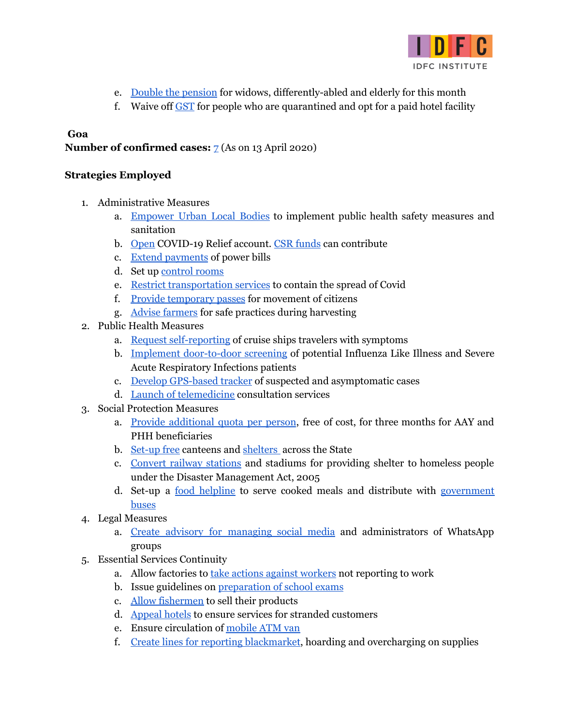

- e. Double the [pension](https://economictimes.indiatimes.com/wealth/personal-finance-news/elderly-differently-abled-widows-to-get-3-months-pension-in-advance/articleshow/74847650.cms?from=mdr) for widows, differently-abled and elderly for this month
- f. Waive off [GST](https://twitter.com/aamaadmiparty/status/1241320074859778050) for people who are quarantined and opt for a paid hotel facility

## <span id="page-10-0"></span>**Goa**

## **Number of confirmed cases:** [7](https://www.mohfw.gov.in/) (As on 13 April 2020)

- 1. Administrative Measures
	- a. [Empower](https://prsindia.org/files/covid19/notifications/2146.GA_ULB_Preparedness_Apr%208.pdf) Urban Local Bodies to implement public health safety measures and sanitation
	- b. [Open](https://twitter.com/goacm/status/1242372659259887616) COVID-19 Relief account. CSR [funds](https://twitter.com/goacm/status/1242071578357026817/photo/1) can contribute
	- c. Extend [payments](https://prsindia.org/files/covid19/notifications/2143.GA_Deferment_Power_Bills_Apr%207.pdf) of power bills
	- d. Set up [control](https://prsindia.org/files/covid19/notifications/1357.GA_South_Goa_Control_Room_Details_Mar%2029.pdf) rooms
	- e. Restrict [transportation](https://prsindia.org/files/covid19/notifications/1946.GA_Regulation_Transport_Services_Mar%2021.pdf) services to contain the spread of Covid
	- f. Provide [temporary](https://prsindia.org/files/covid19/notifications/1364.GA_Online_Temporary_Movement_Pass_Apr%201.pdf) passes for movement of citizens
	- g. Advise [farmers](https://prsindia.org/files/covid19/notifications/1718.GA_Advisory_Farmers_Apr%203.pdf) for safe practices during harvesting
- 2. Public Health Measures
	- a. Request [self-reporting](https://prsindia.org/files/covid19/notifications/2145.GA_Appeal_Seafarers_Apr%206.pdf) of cruise ships travelers with symptoms
	- b. Implement [door-to-door](https://prsindia.org/files/covid19/notifications/2151.GA_M.o.M_SEC_Meet_Apr%206.pdf) screening of potential Influenza Like Illness and Severe Acute Respiratory Infections patients
	- c. Develop [GPS-based](https://prsindia.org/files/covid19/notifications/2139.GA_COVID_Locator_Apr%205.pdf) tracker of suspected and asymptomatic cases
	- d. Launch of [telemedicine](https://prsindia.org/files/covid19/notifications/1366.GA_Telemedicine_Consultation_Services_Apr%202.pdf) consultation services
- 3. Social Protection Measures
	- a. Provide [additional](https://prsindia.org/files/covid19/notifications/1366.GA_Telemedicine_Consultation_Services_Apr%202.pdf) quota per person, free of cost, for three months for AAY and PHH beneficiaries
	- b. [Set-up](https://twitter.com/TourismGoa/status/1244304854396186625) free canteens and [shelters](https://twitter.com/goacm/status/1244301790062891013) across the State
	- c. [Convert](https://www.thehindu.com/news/national/india-coronavirus-lockdown-day-3-live-updates-march-27-2020/article31178543.ece) railway stations and stadiums for providing shelter to homeless people under the Disaster Management Act, 2005
	- d. Set-up a <u>food [helpline](https://twitter.com/goacm/status/1244250102018924544)</u> to serve cooked meals and distribute with [government](https://twitter.com/goacm/status/1244117633055637504) [buses](https://twitter.com/goacm/status/1244117633055637504)
- 4. Legal Measures
	- a. Create advisory for [managing](https://prsindia.org/files/covid19/notifications/2521.GA_Police_Advisory_WhatsApp_Admins_Apr%209.pdf) social media and administrators of WhatsApp groups
- 5. Essential Services Continuity
	- a. Allow factories to take actions against [workers](https://prsindia.org/files/covid19/notifications/2456.GA_Employees_Exempted_Orgs_Report_Duty_Apr%209.pdf) not reporting to work
	- b. Issue guidelines on [preparation](https://prsindia.org/files/covid19/notifications/2527.GA_Guidelines_Results_Class%209%20&%2011.pdf) of school exams
	- c. Allow [fishermen](https://prsindia.org/files/covid19/notifications/1932.GA_Advisory_Fishermen_Apr%206.pdf) to sell their products
	- d. [Appeal](https://prsindia.org/files/covid19/notifications/1363.GA_Circular_Hotels_Guest_Care_Mar%2031.pdf) hotels to ensure services for stranded customers
	- e. Ensure circulation of [mobile](https://prsindia.org/files/covid19/notifications/1358.GA_Movement_Schedule_SBI_Mobile_ATM_Mar%2030.pdf) ATM van
	- f. Create lines for reporting [blackmarket,](https://prsindia.org/files/covid19/notifications/1360.GA_Contact_Persons_Hoarding_Overpricing_etc_Mar%2031.pdf) hoarding and overcharging on supplies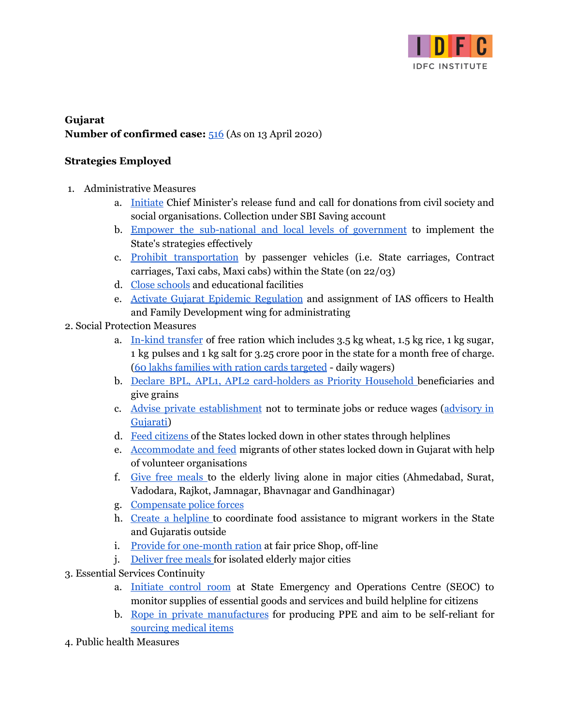

## <span id="page-11-0"></span>**Gujarat Number of confirmed case:** [516](https://www.mohfw.gov.in/) (As on 13 April 2020)

- 1. Administrative Measures
	- a. [Initiate](https://twitter.com/CMOGuj/status/1243095897228988416) Chief Minister's release fund and call for donations from civil society and social organisations. Collection under SBI Saving account
	- b. Empower the [sub-national](https://prsindia.org/files/covid19/notifications/578.GJ_Addendum_COVID_Regulations_Mar%2019.pdf) and local levels of government to implement the State's strategies effectively
	- c. Prohibit [transportation](https://static.mygov.in/rest/s3fs-public/mygov_158505587651307401.pdf) by passenger vehicles (i.e. State carriages, Contract carriages, Taxi cabs, Maxi cabs) within the State (on 22/03)
	- d. Close [schools](http://newsonair.com/Main-News-Details.aspx?id=383071) and educational facilities
	- e. Activate Gujarat Epidemic [Regulation](https://prsindia.org/files/covid19/notifications/2388.GJ_Assignment_Functions_Urban_Rural_Apr%208.pdf) and assignment of IAS officers to Health and Family Development wing for administrating
- 2. Social Protection Measures
	- a. In-kind [transfer](https://gujaratinformation.net/article/?id=OTcxNg==) of free ration which includes 3.5 kg wheat, 1.5 kg rice, 1 kg sugar, 1 kg pulses and 1 kg salt for 3.25 crore poor in the state for a month free of charge. (60 lakhs families with ration cards [targeted](https://www.outlookindia.com/website/story/india-news-how-state-governments-are-managing-the-coronavirus-pandemic-amid-21-day-lockdown/349551) - daily wagers)
	- b. Declare BPL, APL1, APL2 [card-holders](https://in.news.yahoo.com/gujarat-govt-submits-action-taken-181944431.html) as Priority Household beneficiaries and give grains
	- c. Advise private [establishment](https://www.simpliance.in/employment-law-business-risk-management-covid-19-corona-simpliance) not to terminate jobs or reduce wages ([advisory](https://www.simpliance.in/files/covid_docs/1585212900AdvisoryFromGovernmentOfGujaratToNotTerminateEmployeesOrReduceWagesInViewOfCOVID-19Pandemic.pdf) in [Gujarati\)](https://www.simpliance.in/files/covid_docs/1585212900AdvisoryFromGovernmentOfGujaratToNotTerminateEmployeesOrReduceWagesInViewOfCOVID-19Pandemic.pdf)
	- d. Feed [citizens](https://timesofindia.indiatimes.com/city/ahmedabad/gujarat-to-arrange-for-food-for-gujaratis-stranded-in-other-states/articleshow/74852678.cms) of the States locked down in other states through helplines
	- e. [Accommodate](https://timesofindia.indiatimes.com/city/ahmedabad/gujarat-to-arrange-for-food-for-gujaratis-stranded-in-other-states/articleshow/74852678.cms) and feed migrants of other states locked down in Gujarat with help of volunteer organisations
	- f. Give free [meals](https://cmogujarat.gov.in/en/cms-sensitive-initiative-vadil-vandana-for-elderly-in-gujarat/) to the elderly living alone in major cities (Ahmedabad, Surat, Vadodara, Rajkot, Jamnagar, Bhavnagar and Gandhinagar)
	- g. [Compensate](https://prsindia.org/files/covid19/notifications/1211.GJ_25lakhs_compensation_police_Apr%201.pdf) police forces
	- h. Create a [helpline](https://gujaratinformation.net/article/?id=OTgyNQ==) to coordinate food assistance to migrant workers in the State and Gujaratis outside
	- i. Provide for [one-month](https://gujaratinformation.net/article/?id=OTgyNQ==) ration at fair price Shop, off-line
	- j. [Deliver](https://cmogujarat.gov.in/en/cms-sensitive-initiative-vadil-vandana-for-elderly-in-gujarat/) free meals for isolated elderly major cities
- 3. Essential Services Continuity
	- a. [Initiate](https://twitter.com/CollectorAhd/status/1243432663899234306) control room at State Emergency and Operations Centre (SEOC) to monitor supplies of essential goods and services and build helpline for citizens
	- b. Rope in private [manufactures](https://www.deccanherald.com/national/west/covid-19-gujarat-govt-ropes-in-private-firms-to-manufacture-ppe-n95-masks-822327.html) for producing PPE and aim to be self-reliant for [sourcing](https://www.daijiworld.com/news/newsDisplay.aspx?newsID=693511) medical items
- 4. Public health Measures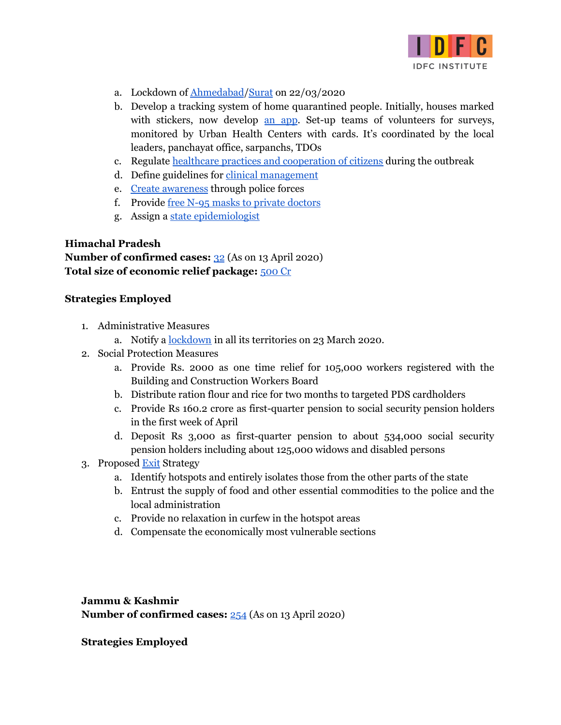

- a. Lockdown of [Ahmedabad](https://static.mygov.in/rest/s3fs-public/mygov_158505521651307401.pdf)/[Surat](https://static.mygov.in/rest/s3fs-public/mygov_158505534351307401.pdf) on 22/03/2020
- b. Develop a tracking system of home quarantined people. Initially, houses marked with stickers, now develop an [app.](https://gadgets.ndtv.com/apps/news/covid-19-gujarat-launches-app-to-track-home-quarantined-persons-2202108) Set-up teams of volunteers for surveys, monitored by Urban Health Centers with cards. It's coordinated by the local leaders, panchayat office, sarpanchs, TDOs
- c. Regulate healthcare practices and [cooperation](https://ahmedabadmirror.indiatimes.com/ahmedabad/others/gujarat-to-ban-spitting-in-public/articleshow/74632684.cms) of citizens during the outbreak
- d. Define guidelines for clinical [management](https://prsindia.org/files/covid19/notifications/1210.GJ_Guidelines_Clinical_Mgmt_Mar%2031.pdf)
- e. Create [awareness](https://www.dnaindia.com/india/report-covid-19-lockdown-policemen-in-surat-wear-coronavirus-theme-dresses-to-create-awareness-2820014) through police forces
- f. Provide free N-95 masks to private [doctors](https://prsindia.org/files/covid19/notifications/2092.GJ_Free_N95_Masks_Pvt_Doctors_Apr%206.pdf)
- g. Assign a state [epidemiologist](https://prsindia.org/files/covid19/notifications/2393.GJ_Assignment_Epidemiologist_Apr%207.pdf)

## <span id="page-12-0"></span>**Himachal Pradesh**

**Number of confirmed cases:** [32](https://www.mohfw.gov.in/) (As on 13 April 2020) **Total size of economic relief package:** [500](https://www.business-standard.com/article/pti-stories/coronavirus-hp-cm-announces-rs-500-cr-relief-package-for-poor-120032301807_1.html) Cr

#### **Strategies Employed**

- 1. Administrative Measures
	- a. Notify a [lockdown](https://static.mygov.in/rest/s3fs-public/mygov_158505631251307401.pdf) in all its territories on 23 March 2020.
- 2. Social Protection Measures
	- a. Provide Rs. 2000 as one time relief for 105,000 workers registered with the Building and Construction Workers Board
	- b. Distribute ration flour and rice for two months to targeted PDS cardholders
	- c. Provide Rs 160.2 crore as first-quarter pension to social security pension holders in the first week of April
	- d. Deposit Rs 3,000 as first-quarter pension to about 534,000 social security pension holders including about 125,000 widows and disabled persons
- 3. Proposed [Exit](http://newsonair.com/Main-News-Details.aspx?id=385410) Strategy
	- a. Identify hotspots and entirely isolates those from the other parts of the state
	- b. Entrust the supply of food and other essential commodities to the police and the local administration
	- c. Provide no relaxation in curfew in the hotspot areas
	- d. Compensate the economically most vulnerable sections

## <span id="page-12-1"></span>**Jammu & Kashmir**

**Number of confirmed cases:** [254](https://www.mohfw.gov.in/) (As on 13 April 2020)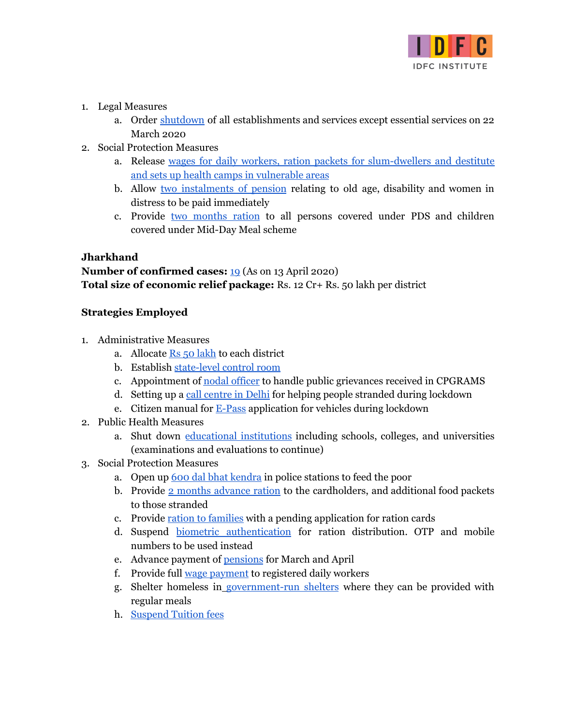

- 1. Legal Measures
	- a. Order [shutdown](https://static.mygov.in/rest/s3fs-public/mygov_158505642151307401.pdf) of all establishments and services except essential services on 22 March 2020
- 2. Social Protection Measures
	- a. Release wages for daily workers, ration packets for [slum-dwellers](https://www.business-standard.com/article/pti-stories/jk-orders-release-of-1-month-wages-for-daily-wagers-ration-packets-for-slum-dwellers-120032500056_1.html) and destitute and sets up health camps in [vulnerable](https://www.business-standard.com/article/pti-stories/jk-orders-release-of-1-month-wages-for-daily-wagers-ration-packets-for-slum-dwellers-120032500056_1.html) areas
	- b. Allow two [instalments](https://jk.gov.in/jammukashmir/sites/default/files/COVID_FinancialAssistance.pdf) of pension relating to old age, disability and women in distress to be paid immediately
	- c. Provide two [months](https://jk.gov.in/jammukashmir/sites/default/files/COVID_FinancialAssistance.pdf) ration to all persons covered under PDS and children covered under Mid-Day Meal scheme

## **Jharkhand**

**Number of confirmed cases:** [19](https://www.mohfw.gov.in/) (As on 13 April 2020) **Total size of economic relief package:** Rs. 12 Cr+ Rs. 50 lakh per district

- 1. Administrative Measures
	- a. Allocate Rs 50 [lakh](https://prsindia.org/files/covid19/notifications/243.JH_Grants_Districts_Disaster_Management_Mar_20.pdf) to each district
	- b. Establish [state-level](https://prsindia.org/files/covid19/notifications/247.JH_Constitution_Control_Room_Mar_24.pdf) control room
	- c. Appointment of nodal [officer](https://prsindia.org/files/covid19/notifications/1562.JH_Nodal_Officer_April_4.jpeg) to handle public grievances received in CPGRAMS
	- d. Setting up a call [centre](https://www.dvara.com/research/resources/notes/interventions-of-states-in-response-to-covid-19-outbreak/) in Delhi for helping people stranded during lockdown
	- e. Citizen manual for [E-Pass](https://prsindia.org/files/covid19/notifications/1564.JH_E_Passes_Mar_29.pdf) application for vehicles during lockdown
- 2. Public Health Measures
	- a. Shut down [educational](https://prsindia.org/files/covid19/notifications/238.JH_Educational_Inst_Shutdown_Mar_16.pdf) institutions including schools, colleges, and universities (examinations and evaluations to continue)
- 3. Social Protection Measures
	- a. Open up <u>600 dal bhat [kendra](https://www.indiatoday.in/india/story/food-packets-to-be-distributed-in-all-24-districts-of-jharkhand-1660505-2020-03-27)</u> in police stations to feed the poor
	- b. Provide 2 months [advance](https://prsindia.org/files/covid19/notifications/248.JH_Advance_Ration_PDS_Mar_25.pdf) ration to the cardholders, and additional food packets to those stranded
	- c. Provide ration to [families](https://www.dvara.com/research/resources/notes/interventions-of-states-in-response-to-covid-19-outbreak/) with a pending application for ration cards
	- d. Suspend biometric [authentication](https://covid-india.in/#) for ration distribution. OTP and mobile numbers to be used instead
	- e. Advance payment of [pensions](https://www.dvara.com/research/resources/notes/interventions-of-states-in-response-to-covid-19-outbreak/) for March and April
	- f. Provide full wage [payment](https://covid-india.in/#) to registered daily workers
	- g. Shelter homeless in [government-run](https://www.outlookindia.com/website/story/india-news-how-state-governments-are-managing-the-coronavirus-pandemic-amid-21-day-lockdown/349551) shelters where they can be provided with regular meals
	- h. [Suspend](https://www.hindustantimes.com/education/don-t-charge-tuition-buss-fee-till-classes-resume-jharkhand-hrd-minister-to-private-schools/story-OksGubWgmRBGzglqMqPseI.html) Tuition fees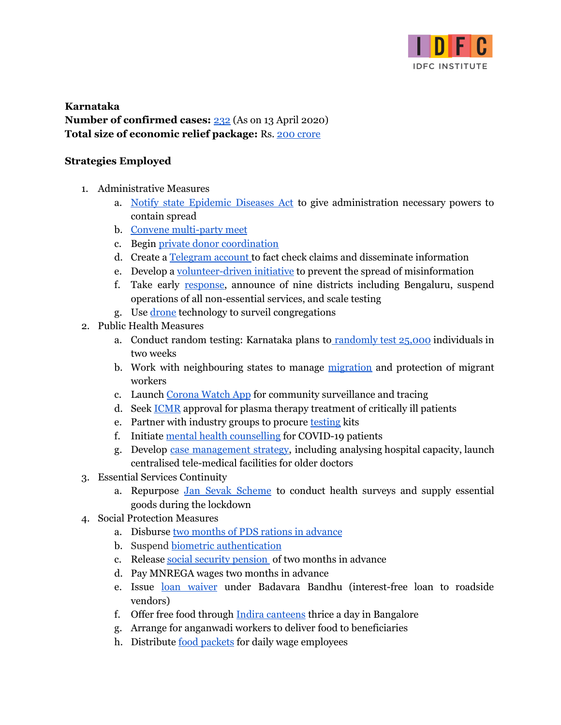

<span id="page-14-0"></span>**Karnataka Number of confirmed cases:** [232](https://www.mohfw.gov.in/) (As on 13 April 2020) **Total size of economic relief package:** Rs. 200 [crore](https://www.newindianexpress.com/states/karnataka/2020/mar/24/karnataka-government-announces-initiatives-for-poor-affected-by-coronavirus-lockdown-2121026.html)

- 1. Administrative Measures
	- a. Notify state [Epidemic](https://covid-india.in/) Diseases Act to give administration necessary powers to contain spread
	- b. Convene [multi-party](https://www.deccanherald.com/state/top-karnataka-stories/karnataka-cm-b-s-yediyurappa-convenes-all-party-meet-on-covid-19-818652.html) meet
	- c. Begin private donor [coordination](https://www.deccanherald.com/state/top-karnataka-stories/karnataka-cm-b-s-yediyurappa-convenes-all-party-meet-on-covid-19-818652.html)
	- d. Create a [Telegram](https://bengaluru.citizenmatters.in/karnataka-government-covid-19-lockdown-shortage-essential-commodities-healthcare-quarantine-surveillance-migrant-labourers-43825) account to fact check claims and disseminate information
	- e. Develop a [volunteer-driven](https://bengaluru.citizenmatters.in/karnataka-government-covid-19-lockdown-shortage-essential-commodities-healthcare-quarantine-surveillance-migrant-labourers-43825) initiative to prevent the spread of misinformation
	- f. Take early [response,](https://bengaluru.citizenmatters.in/karnataka-government-covid-19-lockdown-shortage-essential-commodities-healthcare-quarantine-surveillance-migrant-labourers-43825) announce of nine districts including Bengaluru, suspend operations of all non-essential services, and scale testing
	- g. Use [drone](https://www.thehindu.com/news/national/karnataka/covid-19-lockdown-drones-for-checking-congregations-in-uttara-kannada/article31209488.ece) technology to surveil congregations
- 2. Public Health Measures
	- a. Conduct random testing: Karnataka plans to [randomly](https://www.indiatoday.in/india/story/covid-19-testing-karnataka-south-korea-3ts-1660188-2020-03-27) test 25,000 individuals in two weeks
	- b. Work with neighbouring states to manage [migration](https://www.indiatoday.in/india/story/coronavirus-andhra-pradesh-migrant-workers-quarantined-kolar-1660710-2020-03-28) and protection of migrant workers
	- c. Launch [Corona](https://www.deccanherald.com/national/karnataka-tamil-nadu-monitoring-covid-19-quarantines-through-app-818963.html) Watch App for community surveillance and tracing
	- d. Seek [ICMR](https://www.deccanherald.com/state/top-karnataka-stories/coronavirus-karnataka-writes-to-icmr-for-plasma-therapy-approval-824254.html) approval for plasma therapy treatment of critically ill patients
	- e. Partner with industry groups to procure [testing](https://www.thehindubusinessline.com/news/real-estate/puravankara-group-to-procure-pre-approved-covid-19-testing-kits-for-karnataka-govt/article31315418.ece) kits
	- f. Initiate mental health [counselling](https://www.thehindubusinessline.com/news/national/karnataka-begins-mental-health-counselling-for-covid-19-patients/article31084529.ece) for COVID-19 patients
	- g. Develop case [management](https://www.newindianexpress.com/states/karnataka/2020/apr/10/6000-beds-600-ventilators-in-bengaluru-private-hospitals-says-covid-19-committee-2128309.html) strategy, including analysing hospital capacity, launch centralised tele-medical facilities for older doctors
- 3. Essential Services Continuity
	- a. Repurpose Jan Sevak [Scheme](https://timesofindia.indiatimes.com/city/bengaluru/jana-sevaka-will-serve-hotspots-in-karnataka/articleshow/75117274.cms) to conduct health surveys and supply essential goods during the lockdown
- 4. Social Protection Measures
	- a. Disburse two months of PDS rations in [advance](https://www.outlookindia.com/newsscroll/ktaka-pds-beneficiaries-need-not-panic-buy-says-official/1775747)
	- b. Suspend biometric [authentication](https://timesofindia.indiatimes.com/city/mysuru/biometric-authentication-for-ration-shops-suspended-in-karnataka/articleshow/74801409.cms)
	- c. Release social security [pension](https://www.newindianexpress.com/states/karnataka/2020/mar/24/karnataka-government-announces-initiatives-for-poor-affected-by-coronavirus-lockdown-2121026.html) of two months in advance
	- d. Pay MNREGA wages two months in advance
	- e. Issue loan [waiver](https://www.newindianexpress.com/states/karnataka/2020/mar/24/karnataka-government-announces-initiatives-for-poor-affected-by-coronavirus-lockdown-2121026.html) under Badavara Bandhu (interest-free loan to roadside vendors)
	- f. Offer free food through Indira [canteens](https://bengaluru.citizenmatters.in/bengaluru-lockdown-covid-indira-canteens-three-meals-low-income-groups-migrants-labourers-karnataka-government-notice-43809) thrice a day in Bangalore
	- g. Arrange for anganwadi workers to deliver food to beneficiaries
	- h. Distribute food [packets](https://www.livelaw.in/news-updates/covid-19-justice-g-narendar-appeals-state-to-provide-food-packets-to-daily-wage-employees-affected-due-to-coronavirus-154230) for daily wage employees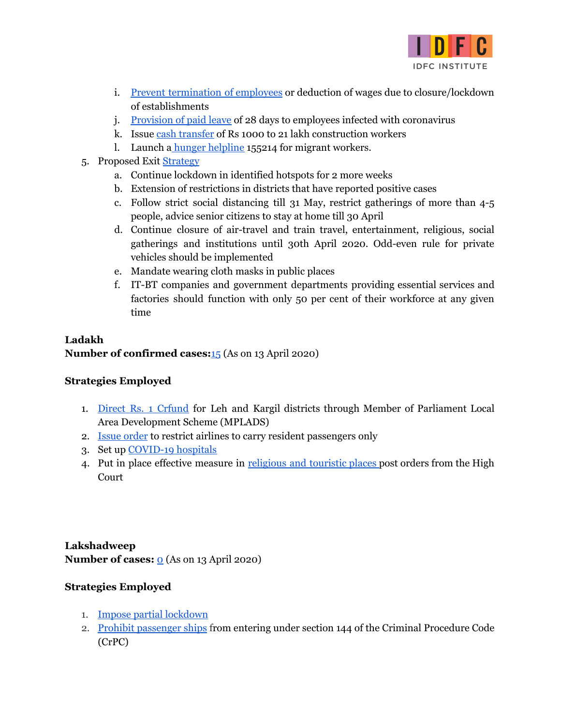

- i. Prevent [termination](https://covid-india.in/) of employees or deduction of wages due to closure/lockdown of establishments
- j. [Provision](https://covid-india.in/) of paid leave of 28 days to employees infected with coronavirus
- k. Issue cash [transfer](https://www.newindianexpress.com/states/karnataka/2020/mar/24/karnataka-government-announces-initiatives-for-poor-affected-by-coronavirus-lockdown-2121026.html) of Rs 1000 to 21 lakh construction workers
- l. Launch a hunger [helpline](https://www.deccanherald.com/national/migrant-workers-in-india-on-move-as-covid-19-stalls-world-818723.html) 155214 for migrant workers.
- 5. Proposed Exit [Strategy](https://www.oneindia.com/india/how-karnataka-should-exit-the-lockdown-this-is-what-the-expert-committee-says-3068339.html)
	- a. Continue lockdown in identified hotspots for 2 more weeks
	- b. Extension of restrictions in districts that have reported positive cases
	- c. Follow strict social distancing till 31 May, restrict gatherings of more than 4-5 people, advice senior citizens to stay at home till 30 April
	- d. Continue closure of air-travel and train travel, entertainment, religious, social gatherings and institutions until 30th April 2020. Odd-even rule for private vehicles should be implemented
	- e. Mandate wearing cloth masks in public places
	- f. IT-BT companies and government departments providing essential services and factories should function with only 50 per cent of their workforce at any given time

## <span id="page-15-0"></span>**Ladakh Number of confirmed cases:**[15](https://www.mohfw.gov.in/) (As on 13 April 2020)

## **Strategies Employed**

- 1. Direct Rs. 1 [Crfund](https://www.outlookindia.com/newsscroll/covid19-ladakh-mp-namgyal-releases-rs-1-cr-from-mplads-fund-donates-one-month-salary/1784969) for Leh and Kargil districts through Member of Parliament Local Area Development Scheme (MPLADS)
- 2. Issue [order](https://www.thehindu.com/news/national/coronavirus-airlines-to-not-carry-non-ladakh-residents-to-leh/article31117487.ece) to restrict airlines to carry resident passengers only
- 3. Set up [COVID-19](https://www.tribuneindia.com/news/ladakh-to-set-up-2-covid-hospitals-62932) hospitals
- <span id="page-15-1"></span>4. Put in place effective measure in [religious](https://www.greaterkashmir.com/news/front-page-2/covid-19-take-effective-steps-at-religious-tourist-places/) and touristic places post orders from the High Court

**Lakshadweep Number of cases:** [0](https://www.mohfw.gov.in/) (As on 13 April 2020)

- 1. Impose partial [lockdown](https://weather.com/en-IN/india/news/news/2020-03-24-coronavirus-updates-mar-24-2020-global-death-toll-confirmed-cases-india)
- 2. Prohibit [passenger](https://weather.com/en-IN/india/news/news/2020-03-24-coronavirus-updates-mar-24-2020-global-death-toll-confirmed-cases-india) ships from entering under section 144 of the Criminal Procedure Code (CrPC)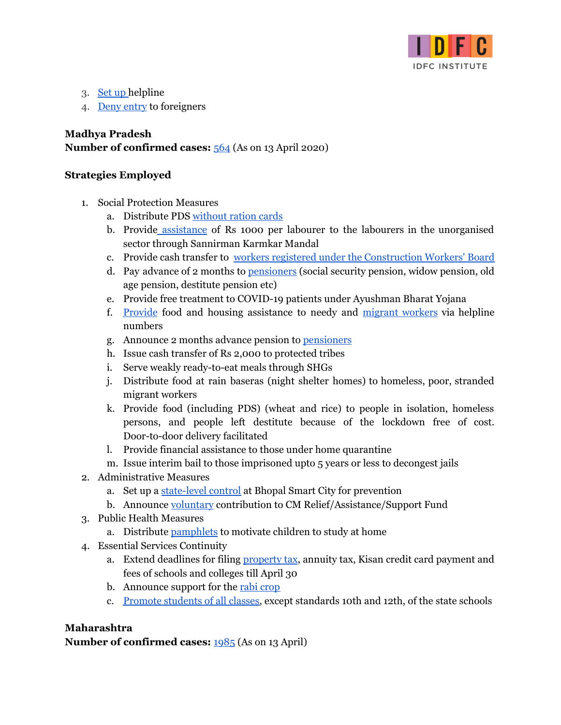

- 3. [Set](https://www.newindianexpress.com/live/2020/mar/29/covid-19-live--delhi-reports-25-new-cases-kejriwal-orders-fir-against-maulana-of-markaz-2122842.html) up helpline
- 4. [Deny](https://www.livemint.com/news/india/coronavirus-scare-foreign-tourists-entry-to-lakshadweep-stopped-says-mp-11583761497843.html) entry to foreigners

## <span id="page-16-0"></span>**Madhya Pradesh Number of confirmed cases:** [564](https://www.mohfw.gov.in/) (As on 13 April 2020)

#### **Strategies Employed**

- 1. Social Protection Measures
	- a. Distribute PDS [without](https://timesofindia.indiatimes.com/city/bhopal/madhya-pradesh-lockdown-to-stall-migration-cm-appeals-workers-to-stay/articleshow/74878125.cms) ration cards
	- b. Provide [assistance](https://english.newstracklive.com/news/madhya-pradesh-shivraj-singh-chouhan-government-announce-relief-package-mc23-nu910-1079886-1.html) of Rs 1000 per labourer to the labourers in the unorganised sector through Sannirman Karmkar Mandal
	- c. Provide cash transfer to workers registered under the [Construction](https://twitter.com/CMMadhyaPradesh/status/1244599590323507201) Workers' Board
	- d. Pay advance of 2 months to [pensioners](https://www.dvara.com/research/resources/notes/interventions-of-states-in-response-to-covid-19-outbreak/) (social security pension, widow pension, old age pension, destitute pension etc)
	- e. Provide free treatment to COVID-19 patients under Ayushman Bharat Yojana
	- f. [Provide](https://twitter.com/CMMadhyaPradesh/status/1244249402530598918) food and housing assistance to needy and migrant [workers](https://twitter.com/CMMadhyaPradesh/status/1243940852436570113) via helpline numbers
	- g. Announce 2 months advance pension to [pensioners](https://www.firstpost.com/health/coronavirus-outbreak-highlights-covid-19-india-lockdown-cases-death-count-maharashtra-punjab-nationwide-shutdown-latest-news-today-8190791.html)
	- h. Issue cash transfer of Rs 2,000 to protected tribes
	- i. Serve weakly ready-to-eat meals through SHGs
	- j. Distribute food at rain baseras (night shelter homes) to homeless, poor, stranded migrant workers
	- k. Provide food (including PDS) (wheat and rice) to people in isolation, homeless persons, and people left destitute because of the lockdown free of cost. Door-to-door delivery facilitated
	- l. Provide financial assistance to those under home quarantine
	- m. Issue interim bail to those imprisoned upto 5 years or less to decongest jails
- 2. Administrative Measures
	- a. Set up a [state-level](https://twitter.com/CMMadhyaPradesh/status/1244532948759539714) control at Bhopal Smart City for prevention
	- b. Announce [voluntary](https://twitter.com/CMMadhyaPradesh/status/1244128770069430272) contribution to CM Relief/Assistance/Support Fund
- 3. Public Health Measures
	- a. Distribute [pamphlets](https://twitter.com/CMMadhyaPradesh/status/1244451160326426626) to motivate children to study at home
- 4. Essential Services Continuity
	- a. Extend deadlines for filing [property](https://twitter.com/CMMadhyaPradesh/status/1243946961822089217) tax, annuity tax, Kisan credit card payment and fees of schools and colleges till April 30
	- b. Announce support for the rabi [crop](https://twitter.com/CMMadhyaPradesh/status/1243456354376757248)
	- c. [Promote](https://economictimes.indiatimes.com/news/politics-and-nation/covid-19-madhya-pradesh-govt-to-promote-students-sans-exams/articleshow/74872256.cms) students of all classes, except standards 10th and 12th, of the state schools

## <span id="page-16-1"></span>**Maharashtra**

**Number of confirmed cases:** [1985](https://www.mohfw.gov.in/) (As on 13 April)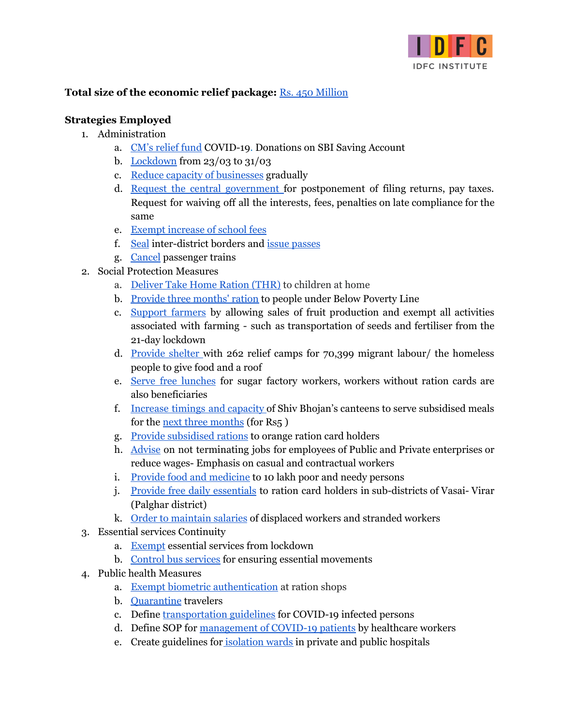

#### **Total size of the economic relief package:** Rs. 450 [Million](https://www.investindia.gov.in/team-india-blogs/how-are-indian-states-responding-coronavirus-outbreak)

- 1. Administration
	- a. CM's [relief](https://timesofindia.indiatimes.com/city/mumbai/maharashtra-how-you-can-donate-to-cm-covid-19-fund/articleshow/74872302.cms) fund COVID-19. Donations on SBI Saving Account
	- b. [Lockdown](https://static.mygov.in/rest/s3fs-public/mygov_158513609051307401.pdf) from 23/03 to 31/03
	- c. Reduce capacity of [businesses](https://twitter.com/CMOMaharashtra/status/1240934901895041024) gradually
	- d. Request the central [government](https://twitter.com/CMOMaharashtra/status/1240598416989622272) for postponement of filing returns, pay taxes. Request for waiving off all the interests, fees, penalties on late compliance for the same
	- e. Exempt [increase](https://prsindia.org/files/covid19/notifications/1594.MH_school_fees_Mar_30.pdf) of school fees
	- f. [Seal](https://twitter.com/CMOMaharashtra/status/1242079757459550213) inter-district borders and issue [passes](https://punemirror.indiatimes.com/pune/others/maharashtra-police-to-issue-passes-for-inter-district-travel/articleshow/74979422.cms)
	- g. [Cancel](https://twitter.com/CMOMaharashtra/status/1241639036197855232) passenger trains
- 2. Social Protection Measures
	- a. [Deliver](https://in.news.yahoo.com/maharashtra-anganwadi-workers-home-ration-212208584.html) Take Home Ration (THR) to children at home
	- b. Provide three [months'](http://timesofindia.indiatimes.com/articleshow/74743122.cms?utm_source=contentofinterest&utm_medium=text&utm_campaign=cppst) ration to people under Below Poverty Line
	- c. [Support](https://www.newslaundry.com/2020/03/28/as-states-show-the-way-to-fight-covid-19-federalism-in-india-gets-a-much-needed-boost) farmers by allowing sales of fruit production and exempt all activities associated with farming - such as transportation of seeds and fertiliser from the 21-day lockdown
	- d. [Provide](https://twitter.com/CMOMaharashtra/status/1244298604061143040) shelter with 262 relief camps for 70,399 migrant labour/ the homeless people to give food and a roof
	- e. Serve free [lunches](https://twitter.com/CMOMaharashtra/status/1244254418305835008/photo/1) for sugar factory workers, workers without ration cards are also beneficiaries
	- f. [Increase](https://twitter.com/CMOMaharashtra/status/1243799017328279552) timings and capacity of Shiv Bhojan's canteens to serve subsidised meals for the next three [months](https://prsindia.org/files/covid19/notifications/2279.MH_Cabinet_Decision_Apr_7.pdf) (for Rs5 )
	- g. Provide [subsidised](https://prsindia.org/files/covid19/notifications/2279.MH_Cabinet_Decision_Apr_7.pdf) rations to orange ration card holders
	- h. [Advise](https://www.simpliance.in/files/covid_docs/1584902034MaharashtraOrderToEmployersOnTerminationOfEmployeesDuringCovid-19Epidemic.jpeg) on not terminating jobs for employees of Public and Private enterprises or reduce wages- Emphasis on casual and contractual workers
	- i. Provide food and [medicine](https://www.deccanherald.com/national/west/political-parties-step-up-efforts-to-help-maharashtra-govt-fight-coronavirus-818831.html) to 10 lakh poor and needy persons
	- j. Provide free daily [essentials](https://www.deccanherald.com/national/west/political-parties-step-up-efforts-to-help-maharashtra-govt-fight-coronavirus-818831.html) to ration card holders in sub-districts of Vasai- Virar (Palghar district)
	- k. Order to [maintain](https://prsindia.org/files/covid19/notifications/1593.MH_wages_Mar_31.pdf) salaries of displaced workers and stranded workers
- 3. Essential services Continuity
	- a. [Exempt](https://twitter.com/CMOMaharashtra/status/1242112899008483330/photo/1) essential services from lockdown
	- b. Control bus [services](https://twitter.com/CMOMaharashtra/status/1241721880933011457/photo/1) for ensuring essential movements
- 4. Public health Measures
	- a. Exempt biometric [authentication](https://www.outlookindia.com/newsscroll/no-need-for-biometric-identification-at-ration-shops-bhujbal/1771235) at ration shops
	- b. [Quarantine](https://twitter.com/CMOMaharashtra/status/1241687781786574849) travelers
	- c. Define [transportation](https://prsindia.org/files/covid19/notifications/1397.MH_guidelines_suspected_Mar_30.pdf) guidelines for COVID-19 infected persons
	- d. Define SOP for [management](https://prsindia.org/files/covid19/notifications/1398.MH_relocation_Mar_29.pdf) of COVID-19 patients by healthcare workers
	- e. Create guidelines for [isolation](https://prsindia.org/files/covid19/notifications/1396.MH_guidelines_isolation_Apr_1.pdf) wards in private and public hospitals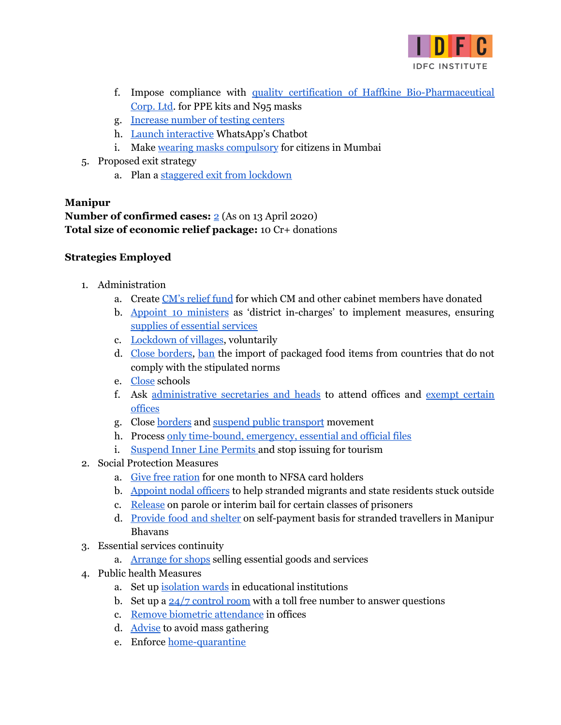

- f. Impose compliance with quality certification of Haffkine [Bio-Pharmaceutical](https://timesofindia.indiatimes.com/city/pune/maharashtra-n95-and-ppe-kits-can-be-sold-only-with-government-nod/articleshow/74989720.cms) [Corp.](https://timesofindia.indiatimes.com/city/pune/maharashtra-n95-and-ppe-kits-can-be-sold-only-with-government-nod/articleshow/74989720.cms) Ltd. for PPE kits and N95 masks
- g. [Increase](https://twitter.com/CMOMaharashtra/status/1241688637718155266) number of testing centers
- h. Launch [interactive](https://twitter.com/CMOMaharashtra/status/1242521280462512128) WhatsApp's Chatbot
- i. Make wearing masks [compulsory](https://prsindia.org/files/covid19/notifications/2323.MH_masks_compulsory_mumbai_apr_8.pdf) for citizens in Mumbai
- 5. Proposed exit strategy
	- a. Plan a staggered exit from [lockdown](https://indianexpress.com/article/cities/mumbai/maharashtra-plans-phased-lockdown-exit-coronavirus-6355722/)

## <span id="page-18-0"></span>**Manipur**

**Number of confirmed cases:** [2](https://www.mohfw.gov.in/) (As on 13 April 2020) **Total size of economic relief package:** 10 Cr+ donations

- 1. Administration
	- a. Create CM's [relief](https://www.deccanherald.com/national/east-and-northeast/manipur-cm-to-donate-one-month-salary-to-coronavirus-relief-fund-assam-orders-lockdown-816845.html) fund for which CM and other cabinet members have donated
	- b. Appoint 10 [ministers](https://nenow.in/north-east-news/manipur/covid-19-manipur-ministers-appointed-as-district-in-charges.html) as 'district in-charges' to implement measures, ensuring supplies of [essential](https://prsindia.org/files/covid19/notifications/638.MN_LockdownOrder_23032020.pdf) services
	- c. [Lockdown](https://www.eastmojo.com/coronavirus-updates/2020/03/25/manipur-villages-lock-down-voluntarily-amid-coronavirus-pandemic) of villages, voluntarily
	- d. Close [borders,](https://thediplomat.com/2020/03/northeast-india-sealed-off-amid-rising-coronavirus-pandemic/) [ban](https://thediplomat.com/2020/03/northeast-india-sealed-off-amid-rising-coronavirus-pandemic/) the import of packaged food items from countries that do not comply with the stipulated norms
	- e. [Close](https://prsindia.org/files/covid19/notifications/633.MN_ClosureofSchools_12032020.pdf) schools
	- f. Ask [administrative](https://prsindia.org/files/covid19/notifications/1742.MN_administrative_heads_March23.jpeg) secretaries and heads to attend offices and [exempt](https://prsindia.org/files/covid19/notifications/1743.MN_lockdown_exemptions_March23.jpeg) certain [offices](https://prsindia.org/files/covid19/notifications/1743.MN_lockdown_exemptions_March23.jpeg)
	- g. Close [borders](https://prsindia.org/files/covid19/notifications/638.MN_LockdownOrder_23032020.pdf) and suspend public [transport](https://prsindia.org/files/covid19/notifications/637.MN_ClosureofPublicTransport_22032020.jpeg) movement
	- h. Process only [time-bound,](https://manipur.gov.in/wp-content/uploads/2020/03/21-03_order_essentialfile.jpeg) emergency, essential and official files
	- i. [Suspend](https://prsindia.org/files/covid19/notifications/635.MN_SuspensionOf_ILP_18032020.jpg) Inner Line Permits and stop issuing for tourism
- 2. Social Protection Measures
	- a. Give free [ration](https://www.deccanherald.com/national/east-and-northeast/manipur-cm-to-donate-one-month-salary-to-coronavirus-relief-fund-assam-orders-lockdown-816845.html) for one month to NFSA card holders b. [Appoint](https://www.eastmojo.com/coronavirus-updates/2020/03/29/covid-19-manipur-guv-takes-initiative-to-rescue-stranded-people) nodal officers to help stranded migrants and state residents stuck outside
	-
	- c. [Release](https://prsindia.org/files/covid19/notifications/905.MG_HPC_Bail_Parole_Mar%2027.pdf) on parole or interim bail for certain classes of prisoners
	- d. [Provide](https://prsindia.org/files/covid19/notifications/1744.MN_Bhavans_March24.jpeg) food and shelter on self-payment basis for stranded travellers in Manipur Bhavans
- 3. Essential services continuity
	- a. [Arrange](https://prsindia.org/files/covid19/notifications/1738.order_distribution_ie.pdf) for shops selling essential goods and services
- 4. Public health Measures
	- a. Set up [isolation](https://nenow.in/north-east-news/manipur/coronavirus-manipur-govt-removes-biometric-attendance-in-offices.html) wards in educational institutions
	- b. Set up a  $24/7$  [control](https://nenow.in/north-east-news/manipur/coronavirus-manipur-govt-removes-biometric-attendance-in-offices.html) room with a toll free number to answer questions
	- c. Remove biometric [attendance](https://nenow.in/north-east-news/manipur/coronavirus-manipur-govt-removes-biometric-attendance-in-offices.html) in offices
	- d. [Advise](https://prsindia.org/files/covid19/notifications/634.MN_GatheringRestriction_12032020.jpg) to avoid mass gathering
	- e. Enforce [home-quarantine](https://prsindia.org/files/covid19/notifications/636.MN_HealthAdvisory_HandStampQuarantine_21032020.jpeg)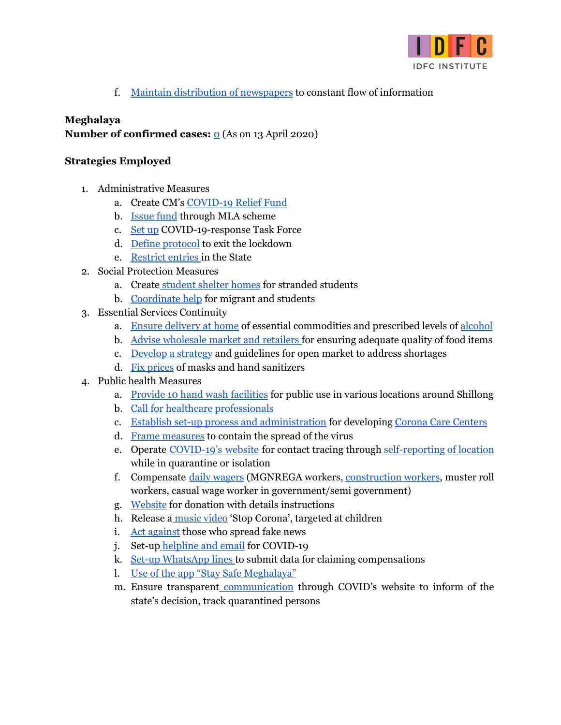

f. Maintain [distribution](https://prsindia.org/files/covid19/notifications/1745.MN_newspapers_March24.jpeg) of newspapers to constant flow of information

## <span id="page-19-0"></span>**Meghalaya**

**Number of confirmed cases:** [0](https://www.mohfw.gov.in/) (As on 13 April 2020)

- 1. Administrative Measures
	- a. Create CM's [COVID-19](https://prsindia.org/files/covid19/notifications/1129.MG_CMRF_Appeal_Mar%2025.pdf) Relief Fund
	- b. [Issue](https://prsindia.org/files/covid19/notifications/1259.MG_25Lakh_MLALAD_Apr%201.pdf) fund through MLA scheme
	- c. [Set](https://prsindia.org/files/covid19/notifications/665.ML_COVID_Task_Force_Mar20.pdf) up COVID-19-response Task Force
	- d. Define [protocol](http://meghalaya.gov.in/megcms/sites/default/files/press_release/Cabinet_Meeting_5.pdf) to exit the lockdown
	- e. [Restrict](https://prsindia.org/files/covid19/notifications/664.ML_restricting_entry_Mar21.pdf) entries in the State
- 2. Social Protection Measures
	- a. Create [student](https://prsindia.org/files/covid19/notifications/901.MG_Student_Shelters_Mar%2026.pdf) shelter homes for stranded students
	- b. [Coordinate](https://prsindia.org/files/covid19/notifications/1256.MG_Nodal_Officers_Migrants_Students_Mar%2031.pdf) help for migrant and students
- 3. Essential Services Continuity
	- a. Ensure [delivery](https://prsindia.org/files/covid19/notifications/906.MG_Home_Delivery_Essentials_Mar%2027.pdf) at home of essential commodities and prescribed levels of [alcohol](https://timesofindia.indiatimes.com/city/shillong/now-meghalaya-allows-home-delivery-of-liquor-on-health-grounds/articleshow/74923818.cms)
	- b. Advise [wholesale](https://prsindia.org/files/covid19/notifications/914.MG_Food_Retailers_Advisory_Mar%2030.pdf) market and retailers for ensuring adequate quality of food items
	- c. [Develop](https://prsindia.org/files/covid19/notifications/1255.MG_Outside_State_Lifting_Essentials_Mar%2031.pdf) a strategy and guidelines for open market to address shortages
	- d. Fix [prices](https://prsindia.org/files/covid19/notifications/1126.MG_MRP_Masks_Sanitisers_Mar%2024.pdf) of masks and hand sanitizers
- 4. Public health Measures
	- a. Provide 10 hand wash [facilities](https://nenow.in/north-east-news/meghalaya/no-curfew-in-shillong-from-8-am-on-sunday.html) for public use in various locations around Shillong
	- b. Call for healthcare [professionals](https://prsindia.org/files/covid19/notifications/1262.MG_Appointment_Call_Medical_Professionals_Apr%201.pdf)
	- c. Establish set-up process and [administration](https://prsindia.org/files/covid19/notifications/913.MG_Corona_Care_Centres_Mar%2029.pdf) for developing Corona Care [Centers](http://meghalayaonline.gov.in/covid/images/materials/quarantine.pdf)
	- d. Frame [measures](https://prsindia.org/files/covid19/notifications/1119.MG_Preventive_Measures_Mar%2022.pdf) to contain the spread of the virus
	- e. Operate [COVID-19's](http://meghalayaonline.gov.in/covid/editselfregistration.htm) website for contact tracing through [self-reporting](https://prsindia.org/files/covid19/notifications/852.MG_Order_Quarantine_COVID_App_Mar_28.pdf) of location while in quarantine or isolation
	- f. Compensate daily [wagers](https://prsindia.org/files/covid19/notifications/907.MG_Fin_Aid_Daily_Wagers_Mar%2028.pdf) (MGNREGA workers, [construction](https://prsindia.org/files/covid19/notifications/911.MG_Building_Construction_Workers_Mar%2028.pdf) workers, muster roll workers, casual wage worker in government/semi government)
	- g. [Website](http://megcmrf.gov.in/index.htm) for donation with details instructions
	- h. Release a [music](https://www.ndtv.com/india-news/coronavirus-pandemic-under-lockdown-meghalaya-sings-its-way-to-fight-covid-19-stop-coronavirus-2198634) video 'Stop Corona', targeted at children
	- i. Act [against](http://www.uniindia.com/stringent-action-against-those-spreading-fake-news-meghalaya-police/east/news/1934602.html) those who spread fake news
	- j. Set-up [helpline](https://nrhmmeghalaya.nic.in/) and email for COVID-19
	- k. Set-up [WhatsApp](https://prsindia.org/files/covid19/notifications/1260.MG_Notification_Compensation_WhatsApp_Apr%201.pdf) lines to submit data for claiming compensations
	- l. Use of the app "Stay Safe [Meghalaya"](https://tsfr.io/jjry5k)
	- m. Ensure transparent [communication](http://meghalayaonline.gov.in/covid/login.htm) through COVID's website to inform of the state's decision, track quarantined persons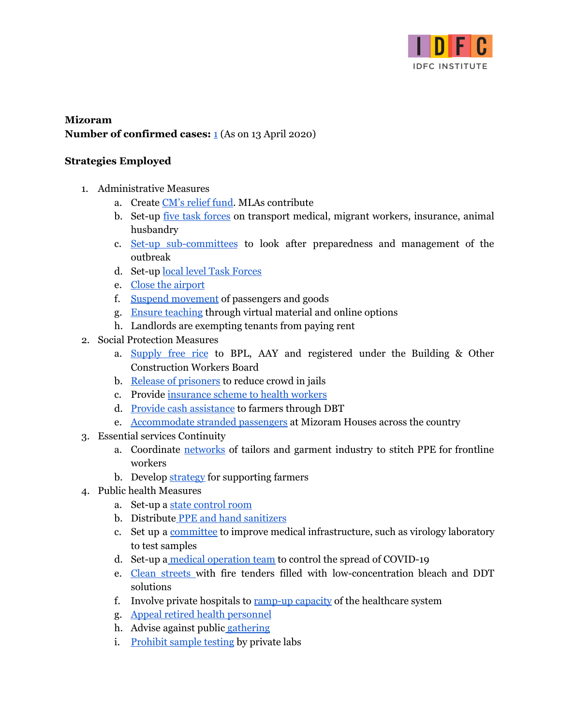

## <span id="page-20-0"></span>**Mizoram Number of confirmed cases:** [1](https://www.mohfw.gov.in/) (As on 13 April 2020)

- 1. Administrative Measures
	- a. Create CM's [relief](https://prsindia.org/files/covid19/notifications/1265.MZ_DIPR_Update_Apr%201.pdf) fund. MLAs contribute
	- b. Set-up five task [forces](https://prsindia.org/files/covid19/notifications/1265.MZ_DIPR_Update_Apr%201.pdf) on transport medical, migrant workers, insurance, animal husbandry
	- c. Set-up [sub-committees](https://prsindia.org/files/covid19/notifications/769.MZ_Health%20Constitution%20of%20Six%20Sub-Committees_March%2018.pdf) to look after preparedness and management of the outbreak
	- d. Set-up local level Task [Forces](https://prsindia.org/files/covid19/notifications/956.MZ_DIPR_Update_Mar%2027.pdf)
	- e. Close the [airport](https://prsindia.org/files/covid19/notifications/948.MZ_Airport_Closure_Mar%2023.pdf)
	- f. Suspend [movement](https://prsindia.org/files/covid19/notifications/939.MZ_Passengers_Movt_Zokhawthar_Mar%2021.pdf) of passengers and goods
	- g. Ensure [teaching](https://prsindia.org/files/covid19/notifications/945.MZ_Online_Classes_Mar%2023.pdf) through virtual material and online options
	- h. Landlords are exempting tenants from paying rent
- 2. Social Protection Measures
	- a. [Supply](https://prsindia.org/files/covid19/notifications/956.MZ_DIPR_Update_Mar%2027.pdf) free rice to BPL, AAY and registered under the Building & Other Construction Workers Board
	- b. Release of [prisoners](https://prsindia.org/files/covid19/notifications/1405.MZ_HC_Grants_Early_Pardon_Apr%203.pdf) to reduce crowd in jails
	- c. Provide [insurance](https://prsindia.org/files/covid19/notifications/966.MZ_DIPR_Update_Mar%2029.pdf) scheme to health workers
	- d. Provide cash [assistance](https://prsindia.org/files/covid19/notifications/973.MZ_DIPR_Update_Mar%2030.pdf) to farmers through DBT
	- e. [Accommodate](https://www.northeasttoday.in/mizoram-decides-to-call-retired-doctors-to-fight-covid-19/) stranded passengers at Mizoram Houses across the country
- 3. Essential services Continuity
	- a. Coordinate [networks](https://indianexpress.com/article/coronavirus/across-mizoram-400-tailors-are-working-round-the-clock-to-fight-covid-19-pandemic-6336544/?fbclid=IwAR3y8PTyJ7fjB2IrrZTJe2RhuxaWnEteDo2q3oh6vCVD_LeubkRmdD_DhgE) of tailors and garment industry to stitch PPE for frontline workers
	- b. Develop [strategy](https://prsindia.org/files/covid19/notifications/1265.MZ_DIPR_Update_Apr%201.pdf) for supporting farmers
- 4. Public health Measures
	- a. Set-up a state [control](https://prsindia.org/files/covid19/notifications/966.MZ_DIPR_Update_Mar%2029.pdf) room
	- b. Distribute PPE and hand [sanitizers](https://prsindia.org/files/covid19/notifications/971.MZ_DIPR_Update_Mar%2030.pdf)
	- c. Set up a [committee](https://www.northeasttoday.in/coronavirus-mizoram-constitutes-committee-for-setting-up/) to improve medical infrastructure, such as virology laboratory to test samples
	- d. Set-up a medical [operation](https://nenow.in/north-east-news/mizoram/mizoram-to-constitute-medical-operation-team-to-fight-coronavirus.html) team to control the spread of COVID-19
	- e. Clean [streets](https://www.telegraphindia.com/states/north-east/assam-government-steps-up-measures-to-battle-covid-19/cid/1760329) with fire tenders filled with low-concentration bleach and DDT solutions
	- f. Involve private hospitals to [ramp-up](https://www.eastmojo.com/coronavirus-updates/2020/03/26/covid19-mizoram-asks-assam-tripura-to-step-up-vigil-along-border) capacity of the healthcare system
	- g. Appeal retired health [personnel](https://prsindia.org/files/covid19/notifications/770.MZ_Health%20Appeal%20to%20Retired%20Health%20Personnel_March%2018.pdf)
	- h. Advise against public [gathering](https://prsindia.org/files/covid19/notifications/920.MZ_Champhai_Advisory_Mar%2016.pdf)
	- i. [Prohibit](https://prsindia.org/files/covid19/notifications/768.MZ_Health%20Epidemic%20Diseases%20Regulation_March%2017.pdf) sample testing by private labs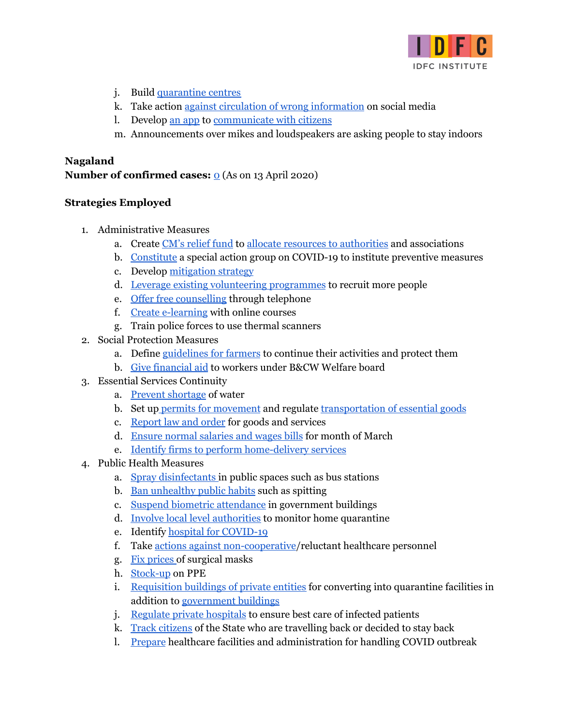

- j. Build [quarantine](https://prsindia.org/files/covid19/notifications/938.MZ_Quarantine_Centre_Zokhawthar_Mar%2021.pdf) centres
- k. Take action against circulation of wrong [information](https://prsindia.org/files/covid19/notifications/931.MZ_Police_Fake_Messages_Mar%2019.pdf) on social media
- l. Develop an [app](https://mcovid19.mizoram.gov.in/) to [communicate](https://prsindia.org/files/covid19/notifications/1406.MZ_Launch_mCOVID_App_Apr%203.pdf) with citizens
- m. Announcements over mikes and loudspeakers are asking people to stay indoors

#### <span id="page-21-0"></span>**Nagaland**

## **Number of confirmed cases:** [0](https://www.mohfw.gov.in/) (As on 13 April 2020)

- 1. Administrative Measures
	- a. Create CM's [relief](https://prsindia.org/files/covid19/notifications/1420.NL_Norms_Assistance_SDRF_Mar%2028.pdf) fund to allocate resources to [authorities](https://www.eastmojo.com/coronavirus-updates/2020/03/26/covid-19-nagaland-cm-sanctions-rs-38-lakh-to-all-state-districts) and associations
	- b. [Constitute](https://nenow.in/north-east-news/nagaland/coronavirus-nagaland-action-group-reviews-preventive-measures.html) a special action group on COVID-19 to institute preventive measures
	- c. Develop [mitigation](https://prsindia.org/files/covid19/notifications/1407.NL_Mitigation_Straegy_Document.pdf) strategy
	- d. Leverage existing volunteering [programmes](https://prsindia.org/files/covid19/notifications/1769.NL_Volunteers_Aapda_Mitra_Scheme_Apr%205.pdf) to recruit more people
	- e. Offer free [counselling](https://prsindia.org/files/covid19/notifications/1424.NL_Free_Tele_Counselling_Services_Mar%2030.pdf) through telephone
	- f. Create [e-learning](https://www.deccanherald.com/national/east-and-northeast/nagaland-takes-e-way-to-help-school-students-during-crisis-over-coronavirus-816471.html) with online courses
	- g. Train police forces to use thermal scanners
- 2. Social Protection Measures
	- a. Define [guidelines](https://prsindia.org/files/covid19/notifications/1609.NL_Guidelines_Farming_Sector_Apr%204.pdf) for farmers to continue their activities and protect them
	- b. Give [financial](https://prsindia.org/files/covid19/notifications/1421.NL_Building_Workers_Financial_Aid_Mar%2028.pdf) aid to workers under B&CW Welfare board
- 3. Essential Services Continuity
	- a. Prevent [shortage](https://prsindia.org/files/covid19/notifications/1857.NL_KMC_Water_Supply_Apr%206.pdf) of water
	- b. Set up permits for [movement](https://prsindia.org/files/covid19/notifications/1771.NL_Mon_Movement_Permits_Apr%205.pdf) and regulate [transportation](https://prsindia.org/files/covid19/notifications/1435.NL_Time_Movement_Vehicles_Essentials_Apr%202.pdf) of essential goods
	- c. [Report](https://prsindia.org/files/covid19/notifications/1433.NL_L&O_Report_Faciliation_Essentials_Apr%201.pdf) law and order for goods and services
	- d. Ensure normal [salaries](https://prsindia.org/files/covid19/notifications/1429.NL_Payment_Salary_Wages_Mar%2031.pdf) and wages bills for month of March
	- e. Identify firms to perform [home-delivery](https://prsindia.org/files/covid19/notifications/1417.NL_List_Home_Delivery_Firms_Kohima_Mar%2027.pdf) services
- 4. Public Health Measures
	- a. Spray [disinfectants](https://www.eastmojo.com/coronavirus-updates/2020/03/25/covid-19-kohima-municipal-workers-start-spraying-disinfectants) in public spaces such as bus stations
	- b. Ban [unhealthy](https://prsindia.org/files/covid19/notifications/678.NL_Notification-on-spitting-in-public-places-and-institutions_Mar23.pdf) public habits such as spitting
	- c. Suspend biometric [attendance](https://prsindia.org/files/covid19/notifications/1764.NL_Suspension_Aadhaar_Attendance_Mar%2016.pdf) in government buildings
	- d. Involve local level [authorities](https://prsindia.org/files/covid19/notifications/682.NL_Village-Councils-and-Ward-authorities-on-Home-Quarantine_Mar23.pdf) to monitor home quarantine
	- e. Identify hospital for [COVID-19](https://prsindia.org/files/covid19/notifications/1766.NL_Dimapur_District_Hospital_COVID19_Hospital_Apr%201.pdf)
	- f. Take actions against [non-cooperative](https://prsindia.org/files/covid19/notifications/1765.NL_Negligent_Health_Personnel_Apr%201.pdf)/reluctant healthcare personnel
	- g. Fix [prices](https://prsindia.org/files/covid19/notifications/1416.NL_Ceiling_Price_Surgical_Masks_Mar%2027.pdf) of surgical masks
	- h. [Stock-up](https://www.easternmirrornagaland.com/nagaland-issues-fresh-regulations-to-tackle-coronavirus/) on PPE
	- i. [Requisition](https://prsindia.org/files/covid19/notifications/1430.NL_Requisition_Other_Buildings_Mar%2031.pdf) buildings of private entities for converting into quarantine facilities in addition to [government](https://prsindia.org/files/covid19/notifications/670.NL_requisition_Mar28.pdf) buildings
	- j. Regulate private [hospitals](https://prsindia.org/files/covid19/notifications/684.NL_Directive-to-all-private-hospitals_Mar23.pdf) to ensure best care of infected patients
	- k. Track [citizens](https://prsindia.org/files/covid19/notifications/686.NL_stranded-enroute_Mar22.pdf) of the State who are travelling back or decided to stay back
	- l. [Prepare](https://prsindia.org/files/covid19/notifications/692.NL_Indoor-Facilities_Mar21.pdf) healthcare facilities and administration for handling COVID outbreak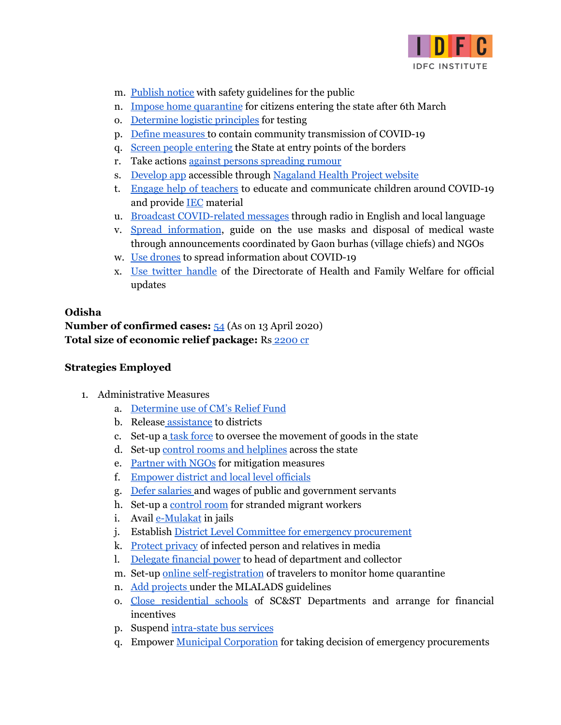

- m. [Publish](https://prsindia.org/files/covid19/notifications/689.NL_Public-Notice-on-dos-and-donts_Mar21.pdf) notice with safety guidelines for the public
- n. Impose home [quarantine](https://prsindia.org/files/covid19/notifications/691.NL_Compulsory-Home-Quarantine_Mar21.pdf) for citizens entering the state after 6th March
- o. [Determine](https://prsindia.org/files/covid19/notifications/693.NL_Public-Notice-on-sample-collection-and-transportation-Mar21.pdf) logistic principles for testing
- p. Define [measures](https://prsindia.org/files/covid19/notifications/690.NL_Closure-of-shops-restaurants-malls_Mar21.pdf) to contain community transmission of COVID-19
- q. Screen people [entering](https://prsindia.org/files/covid19/notifications/697.NL_Screening-of-persons-entering-at-inter-State-road_Mar19.pdf) the State at entry points of the borders
- r. Take actions against persons [spreading](https://prsindia.org/files/covid19/notifications/701.NL_rumors_Mar16.pdf) rumour
- s. [Develop](https://prsindia.org/files/covid19/notifications/1419.NL_COVID19_Mobile_App_Mar%2028.pdf) app accessible through [Nagaland](https://nagalandhealthproject.org/) Health Project website
- t. Engage help of [teachers](https://prsindia.org/files/covid19/notifications/677.NL_Notification-to-schools-on-the-role-of-teachers-on-COVID_Mar23.pdf) to educate and communicate children around COVID-19 and provide [IEC](https://prsindia.org/files/covid19/notifications/1604.NL_Guidelines_Student_Community_Mar%2017.pdf) material
- u. Broadcast [COVID-related](https://prsindia.org/files/covid19/notifications/1409.NL_Broadcast_Jingles_AIR_Mar%2023.pdf) messages through radio in English and local language
- v. Spread [information,](https://nenow.in/north-east-news/nagaland/coronavirus-nagaland-forms-special-action-group.html) guide on the use masks and disposal of medical waste through announcements coordinated by Gaon burhas (village chiefs) and NGOs
- w. Use [drones](https://www.eastmojo.com/ourcoronafighters/2020/03/30/covid-19-how-these-assam-youths-are-providing-food-to-needy-ones) to spread information about COVID-19
- x. Use twitter [handle](https://www.telegraphindia.com/states/north-east/nagaland-steps-up-coronavirus-vigil/cid/1751579) of the Directorate of Health and Family Welfare for official updates

## <span id="page-22-0"></span>**Odisha**

**Number of confirmed cases:** [54](https://www.mohfw.gov.in/) (As on 13 April 2020) **Total size of economic relief package:** Rs [2200](https://www.indiatvnews.com/news/india/coronavirus-odisha-rs-2200-crore-package-ration-pds-beneficiaries-602067) cr

- 1. Administrative Measures
	- a. [Determine](https://prsindia.org/files/covid19/notifications/1135.OD_Utilization_funds_State_Disaster_Response_Fund_mar_28.pdf) use of CM's Relief Fund
	- b. Release [assistance](https://www.businessinsider.in/india/news/coronavirus-cases-in-odisha-news-and-updates/articleshow/74771726.cms?utm_source=contentofinterest&utm_medium=text&utm_campaign=cppst) to districts
	- c. Set-up a task [force](https://timesofindia.indiatimes.com/city/bhubaneswar/coronavirus-odisha-government-suspends-inter-state-bus-services-forms-team-to-monitor-smooth-flow-of-essential-goods/articleshow/74762169.cms) to oversee the movement of goods in the state
	- d. Set-up control rooms and [helplines](https://www.newindianexpress.com/states/odisha/2020/mar/18/odisha-districts-set-up-24-hour-control-rooms-in-wake-of-coronavirus-outbreak-2118069.html) across the state
	- e. [Partner](https://prsindia.org/files/covid19/notifications/1145.OD_Collaborating_with_NGOs_Mar_31.pdf) with NGOs for mitigation measures
	- f. [Empower](https://prsindia.org/files/covid19/notifications/487.OD_Empowerment_of_Collectors_Municipal_Commissioners_for_home_delivery_of_pension_Mar_24.pdf) district and local level officials
	- g. Defer [salaries](https://prsindia.org/files/covid19/notifications/1147.OD_Deferment_salary_Mar_31.pdf) and wages of public and government servants
	- h. Set-up a [control](https://prsindia.org/files/covid19/notifications/1138.OD_Control_Room_migrant_labourers_mar_28.pdf) room for stranded migrant workers
	- i. Avail [e-Mulakat](https://prsindia.org/files/covid19/notifications/809.OD_eMulakat_district_jails_Mar_18.pdf) in jails
	- j. Establish District Level Committee for emergency [procurement](https://prsindia.org/files/covid19/notifications/481.OD_Constitution_of_District_level_emergency_procurement_Committe_Mar_21.pdf)
	- k. Protect [privacy](https://prsindia.org/files/covid19/notifications/479.OD_Media_advisory_Mar_21.pdf) of infected person and relatives in media
	- l. [Delegate](https://prsindia.org/files/covid19/notifications/484.OD_Enhancement_of_power_delegated_to_authorities_making_procurement_Mar_23.pdf) financial power to head of department and collector
	- m. Set-up online [self-registration](https://covid19.odisha.gov.in/) of travelers to monitor home quarantine
	- n. Add [projects](https://prsindia.org/files/covid19/notifications/850.OD-Addition-of-projects-in-admissable-projects-list-under-MPLADS-Funds-Mar-23.pdf) under the MLALADS guidelines
	- o. Close [residential](https://prsindia.org/files/covid19/notifications/847.OD-Closure-of-residential-schools-managed-by-SCST-Dept-Mar-23.pdf) schools of SC&ST Departments and arrange for financial incentives
	- p. Suspend [intra-state](https://prsindia.org/files/covid19/notifications/485.OD_Suspension_bus_movements_Mar_23.pdf) bus services
	- q. Empower Municipal [Corporation](https://prsindia.org/files/covid19/notifications/483.OD_Constitution_of_committee_for_BMC_for_emergency_procurement_Mar_22.pdf) for taking decision of emergency procurements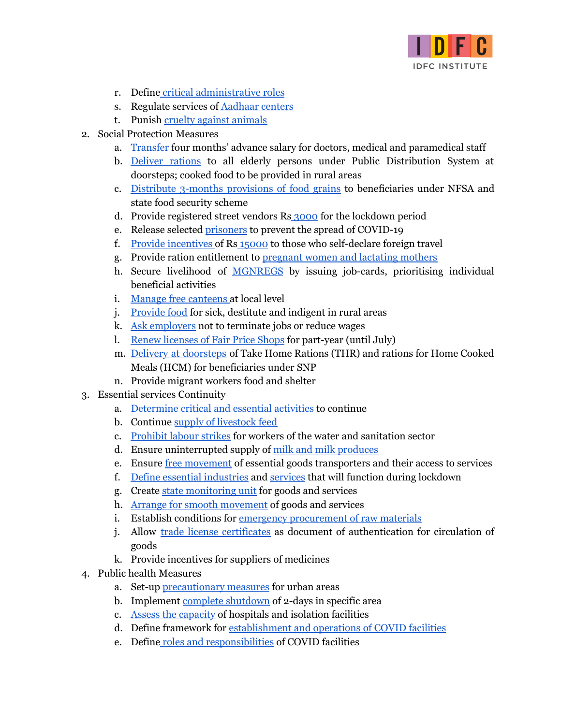

- r. Define critical [administrative](https://prsindia.org/files/covid19/notifications/814.OD-Classification-GovtDept-Mar-21.pdf) roles
- s. Regulate services of [Aadhaar](https://prsindia.org/files/covid19/notifications/824.OD-Regulating%20services%20in%20AAHAAR-Centres-Mar-16.pdf) centers
- t. Punish cruelty against [animals](https://prsindia.org/files/covid19/notifications/822.OD-Preventing-abandonment-of-pets-and-cruelty-against-Animals-Mar-18.pdf)
- 2. Social Protection Measures
	- a. [Transfer](https://www.outlookindia.com/website/story/india-news-how-state-governments-are-managing-the-coronavirus-pandemic-amid-21-day-lockdown/349551) four months' advance salary for doctors, medical and paramedical staff
	- b. [Deliver](https://www.newindianexpress.com/states/odisha/2020/mar/18/pvt-hospitals-asked-to-open-covid-corners-2118056.html) rations to all elderly persons under Public Distribution System at doorsteps; cooked food to be provided in rural areas
	- c. Distribute 3-months [provisions](https://prsindia.org/files/covid19/notifications/831.OD-PDS-Distribution-Mar-17.pdf) of food grains to beneficiaries under NFSA and state food security scheme
	- d. Provide registered street vendors Rs [3000](https://www.businessinsider.in/india/news/coronavirus-cases-in-odisha-news-and-updates/articleshow/74771726.cms) for the lockdown period
	- e. Release selected **[prisoners](https://www.newindianexpress.com/states/odisha/2020/mar/28/coronavirus-brings-interim-freedom-for-60-prisoners-in-odisha-2122573.html)** to prevent the spread of COVID-19
	- f. Provide [incentives](https://prsindia.org/files/covid19/notifications/474.OD_Guidelines_for_persons_traveling_from_abroad_Mar_16.pdf) of Rs [15000](https://www.downtoearth.org.in/blog/health/covid-19-how-odisha-is-setting-an-example-in-preparedness-69940) to those who self-declare foreign travel
	- g. Provide ration entitlement to [pregnant](https://docs.google.com/spreadsheets/d/19PBIps8-1k4jEjEv8iRH6DQp1IsVZlYCBwninqSxYNg/htmlview?fbclid=IwAR1mfuejhsrP6MOgl_UWRMl6h6Qs1FU98LIs7lCWlqgugSwbAa3_r-EDb_E#) women and lactating mothers
	- h. Secure livelihood of [MGNREGS](https://prsindia.org/files/covid19/notifications/1148.OD_MGNREGS_Measures_Mar_31.pdf) by issuing job-cards, prioritising individual beneficial activities
	- i. Manage free [canteens](https://prsindia.org/files/covid19/notifications/1141.OD_Management_GP_ULB-_free_kitchens_WSHGs_Mar_30.pdf) at local level
	- j. [Provide](https://prsindia.org/files/covid19/notifications/1144.OD_provision_food_nnedy_rural_Mar_30.pdf) food for sick, destitute and indigent in rural areas
	- k. Ask [employers](https://prsindia.org/files/covid19/notifications/828.OD-Not-to-terminate-or-reduce-wages-of-employee-COVID-Mar-21.pdf) not to terminate jobs or reduce wages
	- l. Renew [licenses](https://prsindia.org/files/covid19/notifications/833.OD-Renewal-licenses-fair-price-shops-Mar-22.pdf) of Fair Price Shops for part-year (until July)
	- m. Delivery at [doorsteps](https://prsindia.org/files/covid19/notifications/837.OD-Trade-license-certificate-valid-document-movement-of-goods-Mar-24.pdf) of Take Home Rations (THR) and rations for Home Cooked Meals (HCM) for beneficiaries under SNP
	- n. Provide migrant workers food and shelter
- 3. Essential services Continuity
	- a. [Determine](https://prsindia.org/files/covid19/notifications/1146.OD_Extension_operate_authorization_Mar_31.pdf) critical and essential activities to continue
	- b. Continue supply of [livestock](https://prsindia.org/files/covid19/notifications/990.OD_Shops_operating_livestock_feed_Mar_28.pdf) feed
	- c. [Prohibit](https://prsindia.org/files/covid19/notifications/815.OD_Prohibition_on_strike_drinking_water_sanitation_Mar21.pdf) labour strikes for workers of the water and sanitation sector
	- d. Ensure uninterrupted supply of milk and milk [produces](https://prsindia.org/files/covid19/notifications/838.OD-Authorisation-vehicle-pass-for-supply-of-milk-Mar-25.pdf)
	- e. Ensure free [movement](https://prsindia.org/files/covid19/notifications/984.OD_Opening_Dhabas_goods_vehicles_Mar_25.pdf) of essential goods transporters and their access to services
	- f. Define essential [industries](https://prsindia.org/files/covid19/notifications/490.OD_steel_plants_mines_essential_services_Mar_24.pdf) and [services](https://prsindia.org/files/covid19/notifications/491.OD_veterinary_services_essential_Mar_24.pdf) that will function during lockdown
	- g. Create state [monitoring](https://prsindia.org/files/covid19/notifications/817.OD-Constitution-of-state-level-monitoring-unit-on-goods-and-services-Mar-22.pdf) unit for goods and services
	- h. Arrange for smooth [movement](https://prsindia.org/files/covid19/notifications/836.OD-Smooth-movement-permitted-goods-Mar-22.pdf) of goods and services
	- i. Establish conditions for emergency [procurement](https://prsindia.org/files/covid19/notifications/821.OD-Emergency-procurement-provisions-materials-materials-Mar-24.pdf) of raw materials
	- j. Allow trade license [certificates](https://prsindia.org/files/covid19/notifications/837.OD-Trade-license-certificate-valid-document-movement-of-goods-Mar-24.pdf) as document of authentication for circulation of goods
	- k. Provide incentives for suppliers of medicines
- 4. Public health Measures
	- a. Set-up [precautionary](https://prsindia.org/files/covid19/notifications/825.OD-Precautions-in%20urban%20areas-Mar-16.pdf) measures for urban areas
	- b. Implement complete [shutdown](https://prsindia.org/files/covid19/notifications/1617.OD_Complete_shutdown_48_hours_Apr_03.pdf) of 2-days in specific area
	- c. Assess the [capacity](https://prsindia.org/files/covid19/notifications/1909.OD_hospitals_isloation_facility_apr_6.pdf) of hospitals and isolation facilities
	- d. Define framework for [establishment](https://prsindia.org/files/covid19/notifications/1918.OD_establishment_covid_hospitals_apr_6.pdf) and operations of COVID facilities
	- e. Define roles and [responsibilities](https://prsindia.org/files/covid19/notifications/1618.OD_Role_Responsibilities_Oversight_Officers_apr_3.pdf) of COVID facilities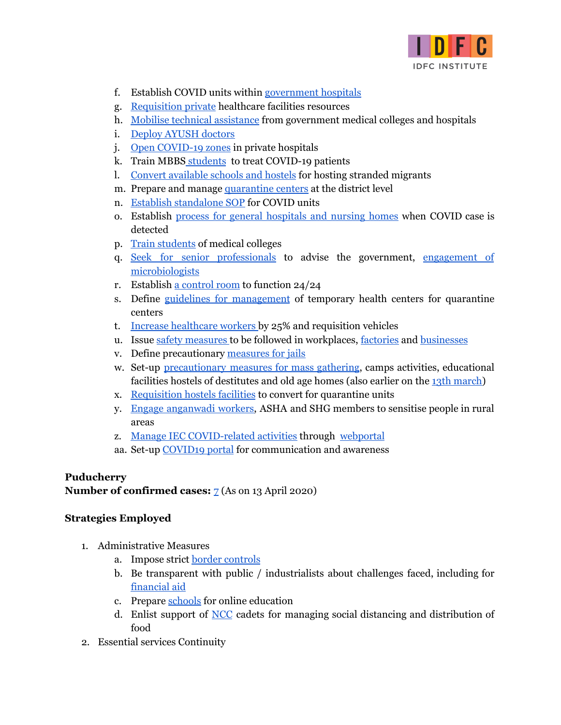

- f. Establish COVID units within [government](https://prsindia.org/files/covid19/notifications/1614.OD_Establishment_District_COVID19_hospitals_Apr_03.pdf) hospitals
- g. [Requisition](https://prsindia.org/files/covid19/notifications/1925.OD_private_health_providers_apr_6.pdf) private healthcare facilities resources
- h. Mobilise technical [assistance](https://prsindia.org/files/covid19/notifications/1865.OD_technical_assistance_Apr_5.pdf) from government medical colleges and hospitals
- i. Deploy [AYUSH](https://prsindia.org/files/covid19/notifications/1872.OD_AYUSH_doctors_Apr_5.pdf) doctors
- j. Open [COVID-19](https://prsindia.org/files/covid19/notifications/477.OD_Private_healthcare_facilities_guidelines_Mar_19.pdf) zones in private hospitals
- k. Train MBBS [students](https://www.businessinsider.in/india/news/coronavirus-cases-in-odisha-news-and-updates/articleshow/74771726.cms) to treat COVID-19 patients
- l. Convert [available](https://prsindia.org/files/covid19/notifications/1137.OD_Using_locked_school_hostel_buildings_temporary_shelters_mar_28.pdf) schools and hostels for hosting stranded migrants
- m. Prepare and manage [quarantine](https://prsindia.org/files/covid19/notifications/1143.OD_preparedness_quarantine_centres_Mar_30.pdf) centers at the district level
- n. Establish [standalone](https://prsindia.org/files/covid19/notifications/1133.OD_SOP_COVID-19_Hospitals_Mar%2028.pdf) SOP for COVID units
- o. Establish process for general [hospitals](https://prsindia.org/files/covid19/notifications/1134.OD_Guidelines_Hospitals_Mar_28.pdf) and nursing homes when COVID case is detected
- p. Train [students](https://prsindia.org/files/covid19/notifications/1136.OD_Training_MBBS_students_Mar_28.pdf) of medical colleges
- q. Seek for senior [professionals](https://prsindia.org/files/covid19/notifications/989.OD_Invitation_srprofessionals_Honorary_Advisors_Mar_28.pdf) to advise the government, [engagement](https://prsindia.org/files/covid19/notifications/1132.OD_shortterm_engagement_Microbiologists_Mar_27.pdf) of [microbiologists](https://prsindia.org/files/covid19/notifications/1132.OD_shortterm_engagement_Microbiologists_Mar_27.pdf)
- r. Establish a [control](https://prsindia.org/files/covid19/notifications/986.OD_Round_the_clock_control_room_Mar_26.pdf) room to function 24/24
- s. Define guidelines for [management](https://prsindia.org/files/covid19/notifications/816.OD-Guidelines-on-management-of-temporary-health-centres-Mar-21.pdf) of temporary health centers for quarantine centers
- t. Increase [healthcare](https://prsindia.org/files/covid19/notifications/476.OD_Increase_paramedics_and_doctors_sanctioned_strength_Mar_18.pdf) workers by 25% and requisition vehicles
- u. Issue safety [measures](https://prsindia.org/files/covid19/notifications/827.OD-Guideline-worksite-Mar-17.pdf) to be followed in workplaces, [factories](https://prsindia.org/files/covid19/notifications/844.OD-Guidelines-Factory-Mgmt-Mar-17.pdf) and [businesses](https://prsindia.org/files/covid19/notifications/843.OD-Precautions-Handloom-Handicrafts-Mar-13.pdf)
- v. Define precautionary [measures](https://health.odisha.gov.in/pdf/Precautionary-Prisions-Covid19.pdf) for jails
- w. Set-up [precautionary](https://prsindia.org/files/covid19/notifications/846.OD-Preventive-measures-social-security-Mar-16.pdf) measures for mass gathering, camps activities, educational facilities hostels of destitutes and old age homes (also earlier on the 13th [march](https://prsindia.org/files/covid19/notifications/473.OD_Banning_mass_gathering_Mar_13.pdf))
- x. [Requisition](https://prsindia.org/files/covid19/notifications/826.OD-Requisition-hostels-OUAT-quarantine-facility-Mar-24.pdf) hostels facilities to convert for quarantine units
- y. Engage [anganwadi](https://www.newindianexpress.com/states/odisha/2020/mar/18/pvt-hospitals-asked-to-open-covid-corners-2118056.html) workers, ASHA and SHG members to sensitise people in rural areas
- z. Manage IEC [COVID-related](https://prsindia.org/files/covid19/notifications/843.OD-Precautions-Handloom-Handicrafts-Mar-13.pdf) activities through [webportal](http://nhmodisha.gov.in/corona.aspx)
- aa. Set-up [COVID19](https://covid19.odisha.gov.in/) portal for communication and awareness

## <span id="page-24-0"></span>**Puducherry**

**Number of confirmed cases:** [7](https://www.mohfw.gov.in/) (As on 13 April 2020)

- 1. Administrative Measures
	- a. Impose strict border [controls](https://www.businessinsider.in/india/news/poor-financial-position-causing-hurdles-in-tackling-covid-19-situation-puducherry-cm/articleshow/75054782.cms)
	- b. Be transparent with public / industrialists about challenges faced, including for [financial](https://www.businessinsider.in/india/news/poor-financial-position-causing-hurdles-in-tackling-covid-19-situation-puducherry-cm/articleshow/75054782.cms) aid
	- c. Prepare [schools](https://www.newindianexpress.com/states/tamil-nadu/2020/apr/08/board-exams-worry-not-pondy-edu-dept-makes-it-easier-2127340.html) for online education
	- d. Enlist support of **[NCC](https://www.thehindu.com/news/national/tamil-nadu/ncc-cadets-join-fight-against-covid-19/article31278412.ece)** cadets for managing social distancing and distribution of food
- 2. Essential services Continuity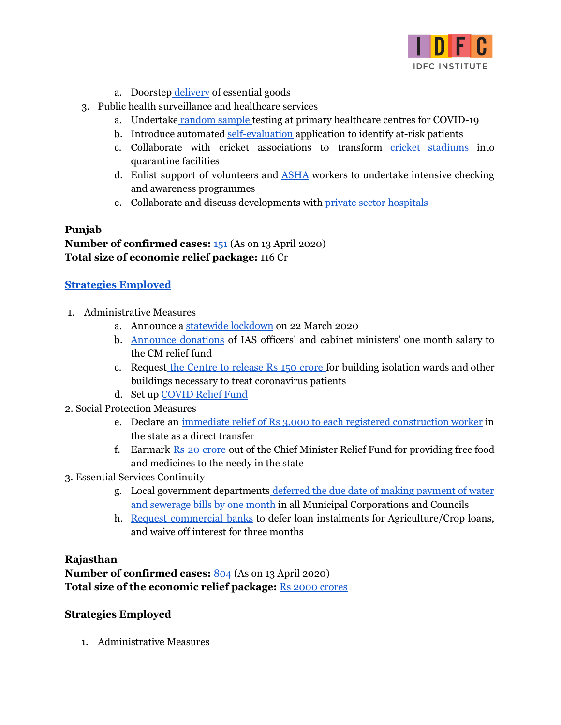

- a. [Doorstep](https://www.deccanherald.com/national/south/puducherry-govt-to-supply-essentials-at-door-steps-cm-818132.html) [delivery](https://www.deccanherald.com/national/south/puducherry-govt-to-supply-essentials-at-door-steps-cm-818132.html) of essential goods
- 3. Public health surveillance and healthcare services
	- a. Undertake [random](https://www.businessinsider.in/india/news/200-random-samples-test-negative-for-covid-19-in-puducherry/articleshow/75110963.cms) sample testing at primary healthcare centres for COVID-19
	- b. Introduce automated [self-evaluation](https://innovaccer.com/test-yourself-puducherry/) application to identify at-risk patients
	- c. Collaborate with cricket associations to transform cricket [stadiums](https://www.outlookindia.com/newsscroll/puducherrys-cricket-association-offers-dormitory-for-covid19-patients/1777120) into quarantine facilities
	- d. Enlist support of volunteers and  $\triangle SHA$  workers to undertake intensive checking and awareness programmes
	- e. Collaborate and discuss developments with private sector [hospitals](https://medicaldialogues.in/state-news/puducherry/pondy-cm-holds-discussion-with-private-medical-college-authorities-64676)

## <span id="page-25-0"></span>**Punjab**

**Number of confirmed cases:** [151](https://www.mohfw.gov.in/) (As on 13 April 2020) **Total size of economic relief package:** 116 Cr

## **Strategies [Employed](https://www.business-standard.com/article/current-affairs/up-to-kerala-how-states-are-helping-the-poor-amidst-coronavirus-outbreak-120032400344_1.html)**

- 1. Administrative Measures
	- a. Announce a [statewide](https://static.mygov.in/rest/s3fs-public/mygov_158505931251307401.pdf) lockdown on 22 March 2020
	- b. [Announce](https://www.hindustantimes.com/cities/punjab-minister-tript-bajwa-to-donate-month-s-salary-to-cm-s-relief-fund-for-efforts-to-control-covid-19/story-gz4vLBpDLSoiqmMLR2eqaP.html) donations of IAS officers' and cabinet ministers' one month salary to the CM relief fund
	- c. Request the Centre to [release](https://www.business-standard.com/article/news-ani/covid-19-punjab-govt-urges-centre-to-release-rs-150-crore-for-isolation-wards-buildings-120032301655_1.html) Rs 150 crore for building isolation wards and other buildings necessary to treat coronavirus patients
	- d. Set up [COVID](https://www.business-standard.com/article/pti-stories/punjab-cm-sets-up-covid-relief-fund-120032401718_1.html) Relief Fund
- 2. Social Protection Measures
	- e. Declare an immediate relief of Rs 3,000 to each registered [construction](https://www.business-standard.com/article/economy-policy/covid-19-govt-directs-states-to-transfer-cash-to-construction-workers-120032400746_1.html) worker in the state as a direct transfer
	- f. Earmark Rs 20 [crore](https://www.hindustantimes.com/cities/punjab-minister-tript-bajwa-to-donate-month-s-salary-to-cm-s-relief-fund-for-efforts-to-control-covid-19/story-gz4vLBpDLSoiqmMLR2eqaP.html) out of the Chief Minister Relief Fund for providing free food and medicines to the needy in the state
- 3. Essential Services Continuity
	- g. Local government departments deferred the due date of making [payment](https://www.thestatesman.com/cities/chandigarh/covid-19-punjab-state-wide-curfew-1502869171.html) of water and [sewerage](https://www.thestatesman.com/cities/chandigarh/covid-19-punjab-state-wide-curfew-1502869171.html) bills by one month in all Municipal Corporations and Councils
	- h. Request [commercial](https://www.outlookindia.com/newsscroll/amarinder-urges-centre-to-immediately-release-rs-2088-cr-gst-compensation-for-punjab/1783549) banks to defer loan instalments for Agriculture/Crop loans, and waive off interest for three months

#### <span id="page-25-1"></span>**Rajasthan**

**Number of confirmed cases:** [804](https://www.mohfw.gov.in/) (As on 13 April 2020) **Total size of the economic relief package:** Rs [2000](https://www.dvara.com/research/resources/notes/interventions-of-states-in-response-to-covid-19-outbreak/) crores

#### **Strategies Employed**

1. Administrative Measures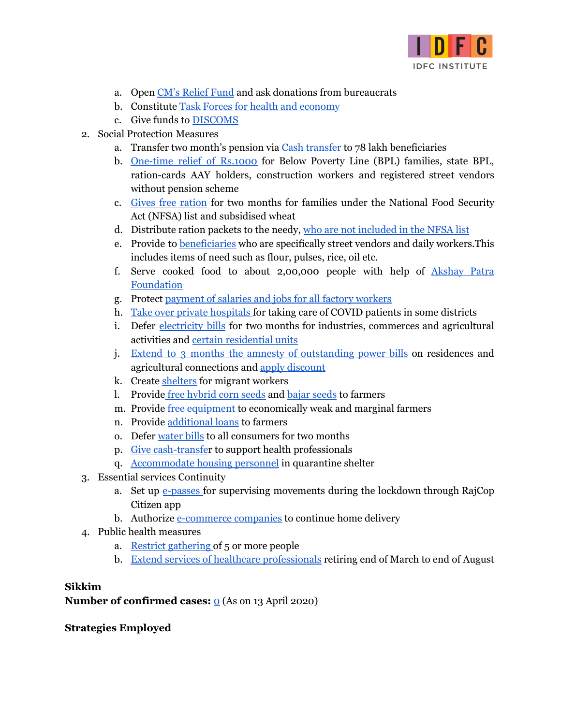

- a. Open CM's [Relief](https://www.deccanherald.com/national/north-and-central/covid-19-rajasthan-govt-restricts-assembly-of-5-or-more-people-816960.html) Fund and ask donations from bureaucrats
- b. Constitute Task Forces for health and [economy](https://prsindia.org/files/covid19/notifications/1794.RJ_CM_Task_Forces_Apr%203.pdf)
- c. Give funds to [DISCOMS](https://prsindia.org/files/covid19/notifications/1787.RJ_Electricity_Water_Dept_Measures_Apr%202.pdf)
- 2. Social Protection Measures
	- a. Transfer two month's pension via Cash [transfer](https://www.dvara.com/research/resources/notes/interventions-of-states-in-response-to-covid-19-outbreak/) to 78 lakh [beneficiaries](https://www.hindustantimes.com/india-news/coronavirus-update-rajasthan-bans-private-vehicles-to-give-pension-food-to-poor/story-McqrXsvPuqHPEA7wTe6qDI.html)
	- b. [One-time](https://www.hindustantimes.com/india-news/coronavirus-update-rajasthan-bans-private-vehicles-to-give-pension-food-to-poor/story-McqrXsvPuqHPEA7wTe6qDI.html) relief of Rs.1000 [f](https://www.hindustantimes.com/india-news/coronavirus-update-rajasthan-bans-private-vehicles-to-give-pension-food-to-poor/story-McqrXsvPuqHPEA7wTe6qDI.html)or Below Poverty Line (BPL) families, state BPL, ration-cards AAY holders, construction workers and registered street vendors without pension scheme
	- c. Gives free [ration](https://www.hindustantimes.com/india-news/coronavirus-update-rajasthan-bans-private-vehicles-to-give-pension-food-to-poor/story-McqrXsvPuqHPEA7wTe6qDI.html) for two months for families under the National Food Security Act (NFSA) list and subsidised wheat
	- d. Distribute ration packets to the needy, who are not [included](https://www.hindustantimes.com/india-news/coronavirus-update-rajasthan-bans-private-vehicles-to-give-pension-food-to-poor/story-McqrXsvPuqHPEA7wTe6qDI.html) in the NFSA list
	- e. Provide to [beneficiaries](https://news.abplive.com/news/india/coronavirus-impact-rajasthan-under-lockdown-till-march-31-covid-19-1180245) who are specifically street vendors and daily workers.This includes items of need such as flour, pulses, rice, oil etc.
	- f. Serve cooked food to about 2,00,000 people with help of [Akshay](https://thewire.in/labour/rajasthan-migrant-labourers-hungry) Patra [Foundation](https://thewire.in/labour/rajasthan-migrant-labourers-hungry)
	- g. Protect [payment](https://news.abplive.com/news/india/coronavirus-impact-rajasthan-under-lockdown-till-march-31-covid-19-1180245) of salaries and jobs for all factory workers
	- h. Take over private [hospitals](https://frontline.thehindu.com/dispatches/article31182787.ece) for taking care of COVID patients in some districts
	- i. Defer [electricity](https://prsindia.org/files/covid19/notifications/1783.RJ_Electricity_Water_Dept_Measures_Apr%202.pdf) bills for two months for industries, commerces and agricultural activities and certain [residential](https://prsindia.org/files/covid19/notifications/1785.RJ_Electricity_Water_Dept_Measures_Apr%202.pdf) units
	- j. Extend to 3 months the amnesty of [outstanding](https://prsindia.org/files/covid19/notifications/1784.RJ_Electricity_Water_Dept_Measures_Apr%202.pdf) power bills on residences and agricultural connections and apply [discount](https://prsindia.org/files/covid19/notifications/1786.RJ_Electricity_Water_Dept_Measures_Apr%202.pdf)
	- k. Create [shelters](https://theprint.in/india/sanitisers-to-migrant-shelters-rajasthans-covid-19-fight-is-a-public-private-venture/392015/) for migrant workers
	- l. Provide free [hybrid](https://prsindia.org/files/covid19/notifications/1789.RJ_Electricity_Water_Dept_Measures_Apr%202.pdf) corn seeds and bajar [seeds](https://prsindia.org/files/covid19/notifications/1790.RJ_Electricity_Water_Dept_Measures_Apr%202.pdf) to farmers
	- m. Provide free [equipment](https://prsindia.org/files/covid19/notifications/1791.RJ_Electricity_Water_Dept_Measures_Apr%202.pdf) to economically weak and marginal farmers
	- n. Provide [additional](https://prsindia.org/files/covid19/notifications/1792.RJ_Electricity_Water_Dept_Measures_Apr%202.pdf) loans to farmers
	- o. Defer [water](https://prsindia.org/files/covid19/notifications/1793.RJ_Electricity_Water_Dept_Measures_Apr%202.pdf) bills to all consumers for two months
	- p. Give [cash-transfer](https://prsindia.org/files/covid19/notifications/623.RJ_EncouragementGrant_HealthProfessionals_24032020.pdf) to support health professionals
	- q. [Accommodate](https://prsindia.org/files/covid19/notifications/620.RJ_Establishment%20of%20Quarantine%20Centres_22032020.pdf) housing personnel in quarantine shelter
- 3. Essential services Continuity
	- a. Set up [e-passes](https://www.medianama.com/2020/03/223-rajasthan-passes-coronavirus/) for supervising movements during the lockdown through RajCop Citizen app
	- b. Authorize [e-commerce](https://www.medianama.com/2020/03/223-rajasthan-passes-coronavirus/) companies to continue home delivery
- 4. Public health measures
	- a. Restrict [gathering](https://www.deccanherald.com/national/north-and-central/covid-19-rajasthan-govt-restricts-assembly-of-5-or-more-people-816960.html) of 5 or more people
	- b. Extend services of healthcare [professionals](https://prsindia.org/files/covid19/notifications/1782.RJ_M.o.M_SDRA_Mar%2030.pdf) retiring end of March to end of August

## **Sikkim**

**Number of confirmed cases:** [0](https://www.mohfw.gov.in/) (As on 13 April 2020)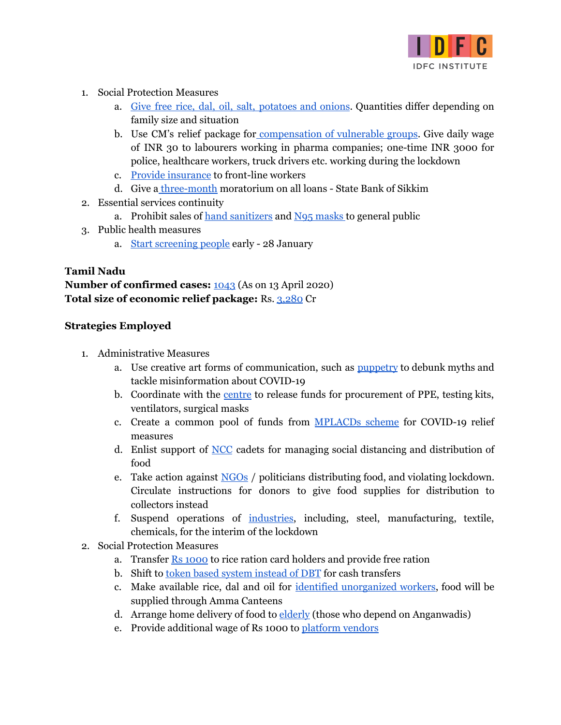

- 1. Social Protection Measures
	- a. Give free rice, dal, oil, salt, [potatoes](https://nenow.in/north-east-news/sikkim/sikkim-announces-relief-package-for-coronavirus-lockdown.html) and onions. Quantities differ depending on family size and situation
	- b. Use CM's relief package for [compensation](https://nenow.in/north-east-news/sikkim/sikkim-announces-relief-package-for-coronavirus-lockdown.html) of vulnerable groups. Give daily wage of INR 30 to labourers working in pharma companies; one-time INR 3000 for police, healthcare workers, truck drivers etc. working during the lockdown
	- c. Provide [insurance](https://nenow.in/north-east-news/sikkim/sikkim-announces-relief-package-for-coronavirus-lockdown.html) to front-line workers
	- d. Give a [three-month](https://nenow.in/north-east-news/sikkim/sikkim-announces-relief-package-for-coronavirus-lockdown.html) moratorium on all loans State Bank of Sikkim
- 2. Essential services continuity
	- a. Prohibit sales of hand [sanitizers](https://prsindia.org/files/covid19/notifications/774.SK_Health%20Ban%20related%20to%20Sale%20of%20Hand%20Sanitisers_March%2025.pdf) and N95 [masks](https://prsindia.org/files/covid19/notifications/775.SK_Health%20Ban%20related%20to%20Sale%20of%20N95%20Masks_March%2025.pdf) to general public
- 3. Public health measures
	- a. Start [screening](https://www.eastmojo.com/coronavirus-updates/2020/03/30/sikkim-govt-fully-prepared-to-tackle-covid-19-crisis-cm-ps-golay) people early 28 January

## <span id="page-27-0"></span>**Tamil Nadu**

**Number of confirmed cases:** [1043](https://www.mohfw.gov.in/) (As on 13 April 2020) **Total size of economic relief package:** Rs. [3,280](https://www.thehindu.com/news/national/tamil-nadu/covid-19-tamil-nadu-chief-minister-announces-3280-crore-package-for-low-income-groups/article31149592.ece) Cr

- 1. Administrative Measures
	- a. Use creative art forms of communication, such as [puppetry](https://www.siasat.com/tn-artist-takes-puppetry-spread-awareness-covid-19-1873001/) to debunk myths and tackle misinformation about COVID-19
	- b. Coordinate with the [centre](https://www.thehindu.com/news/national/tamil-nadu/tamil-nadu-chief-minister-urges-prime-minister-modi-to-provide-covid-19-rapid-test-kits-1000-crore-immediately/article31317569.ece) to release funds for procurement of PPE, testing kits, ventilators, surgical masks
	- c. Create a common pool of funds from [MPLACDs](https://www.thehindu.com/news/national/tamil-nadu/tamil-nadu-for-common-pooling-1-crore-each-from-mla-funds-to-combat-covid-19/article31278946.ece) scheme for COVID-19 relief measures
	- d. Enlist support of [NCC](https://www.thehindu.com/news/national/tamil-nadu/ncc-cadets-join-fight-against-covid-19/article31278412.ece) cadets for managing social distancing and distribution of food
	- e. Take action against [NGOs](https://www.indiatoday.in/india/story/dmk-kamal-haasan-slam-tamil-nadu-govt-for-stopping-donation-of-food-essential-supplies-1666251-2020-04-12) / politicians distributing food, and violating lockdown. Circulate instructions for donors to give food supplies for distribution to collectors instead
	- f. Suspend operations of [industries](https://www.business-standard.com/article/current-affairs/tn-allows-skeletal-staff-for-essential-maintenance-of-industrial-units-120040701621_1.html), including, steel, manufacturing, textile, chemicals, for the interim of the lockdown
- 2. Social Protection Measures
	- a. Transfer Rs [1000](https://science.thewire.in/politics/government/coronavirus-tamil-nadu-cm-announces-rs-3280-crore-special-relief-package/) to rice ration card holders and provide free ration
	- b. Shift to token based system [instead](https://www.thehindu.com/news/national/tamil-nadu/the-case-for-taking-the-dbt-route-for-ration-cardholders/article31167740.ece) of DBT for cash transfers
	- c. Make available rice, dal and oil for identified [unorganized](https://www.thehindu.com/news/national/tamil-nadu/covid-19-tamil-nadu-chief-minister-announces-3280-crore-package-for-low-income-groups/article31149592.ece) workers, food will be supplied through Amma Canteens
	- d. Arrange home delivery of food to [elderly](https://www.thehindu.com/news/national/tamil-nadu/covid-19-tamil-nadu-chief-minister-announces-3280-crore-package-for-low-income-groups/article31149592.ece) (those who depend on Anganwadis)
	- e. Provide additional wage of Rs 1000 to [platform](https://www.thehindu.com/news/national/tamil-nadu/covid-19-tamil-nadu-chief-minister-announces-3280-crore-package-for-low-income-groups/article31149592.ece) vendors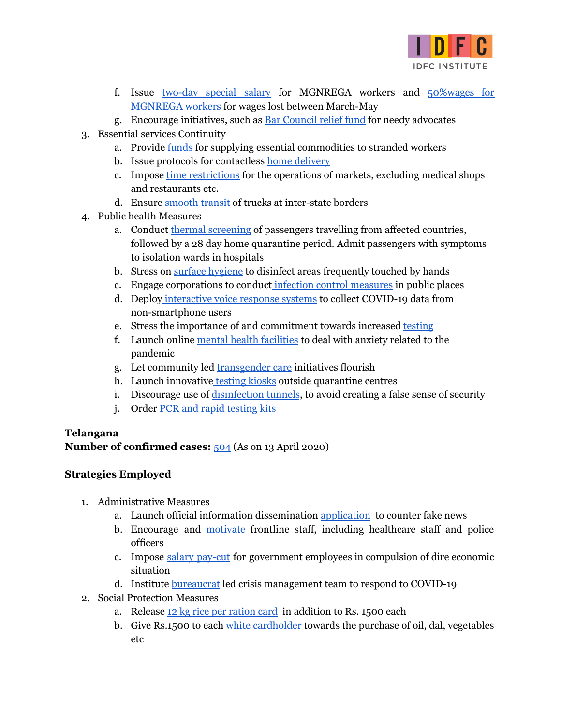

- f. Issue [two-day](https://www.thehindu.com/news/national/tamil-nadu/covid-19-tamil-nadu-chief-minister-announces-3280-crore-package-for-low-income-groups/article31149592.ece) special salary for MGNREGA workers and [50%wages](https://www.financialexpress.com/lifestyle/health/tamil-nadu-seeks-rs-4000-cr-special-aid-from-centre-to-fight-covid-19-lockdown-impac/1909596/) for [MGNREGA](https://www.financialexpress.com/lifestyle/health/tamil-nadu-seeks-rs-4000-cr-special-aid-from-centre-to-fight-covid-19-lockdown-impac/1909596/) workers for wages lost between March-May
- g. Encourage initiatives, such as Bar [Council](https://www.indialegallive.com/top-news-of-the-day/news/bar-council-tamil-nadu-puducherry-extends-relief-advocates-need-covid-19-95215) relief fund for needy advocates
- 3. Essential services Continuity
	- a. Provide [funds](https://timesofindia.indiatimes.com/city/chennai/lockdown-tamil-nadu-govt-to-supply-essential-commodities-worth-rs-8-51-crore-to-1-34-lakh-guest-workers/articleshow/74984515.cms) for supplying essential commodities to stranded workers
	- b. Issue protocols for contactless home [delivery](https://timesofindia.indiatimes.com/city/chennai/chennai-lockdown-people-getting-essential-items-no-shortage-of-supply/articleshow/74826607.cms)
	- c. Impose time [restrictions](https://www.thehindu.com/news/national/tamil-nadu/tamil-nadu-govt-sets-operation-time-for-shops-selling-essential-commodities-food-delivery-services/article31185742.ece) for the operations of markets, excluding medical shops and restaurants etc.
	- d. Ensure [smooth](https://www.newindianexpress.com/states/tamil-nadu/2020/apr/10/coronavirus-outbreak-tamil-nadu-facing-depletion-of-stocks-of-essentials-2128418.html) transit of trucks at inter-state borders
- 4. Public health Measures
	- a. Conduct thermal [screening](https://www.thehindu.com/news/national/tamil-nadu/covid-19-heres-what-tamil-nadu-has-been-doing-since-january/article31161945.ece) of passengers travelling from affected countries, followed by a 28 day home quarantine period. Admit passengers with symptoms to isolation wards in hospitals
	- b. Stress on surface [hygiene](https://www.thehindu.com/news/national/tamil-nadu/covid-19-heres-what-tamil-nadu-has-been-doing-since-january/article31161945.ece) to disinfect areas frequently touched by hands
	- c. Engage corporations to conduct infection control [measures](https://www.thehindu.com/news/national/tamil-nadu/covid-19-heres-what-tamil-nadu-has-been-doing-since-january/article31161945.ece) in public places
	- d. Deploy [interactive](https://inc42.com/buzz/india-using-geo-fencing-ivrs-to-fight-covid-19-panic-track-patients/) voice response systems to collect COVID-19 data from non-smartphone users
	- e. Stress the importance of and commitment towards increased [testing](https://www.thehindu.com/news/national/tamil-nadu/covid-19-ramp-up-number-of-tests-says-ramadoss/article31298142.ece)
	- f. Launch online mental health [facilities](https://www.thehindu.com/sci-tech/health/help-is-at-hand-as-cases-of-anxiety-stemming-out-of-covid-19-increase-in-coimbatore/article31297834.ece) to deal with anxiety related to the pandemic
	- g. Let community led [transgender](https://www.livemint.com/mint-lounge/features/helping-the-transgender-community-during-the-covid-19-crisis-11586346170395.html) care initiatives flourish
	- h. Launch innovative [testing](https://www.deccanherald.com/national/south/south-korea-style-testing-kiosks-debut-in-tn-822857.html) kiosks outside quarantine centres
	- i. Discourage use of [disinfection](https://www.thehindu.com/news/national/tamil-nadu/coronavirus-directorate-of-public-health-says-no-to-disinfection-tunnels/article31321537.ece) tunnels, to avoid creating a false sense of security
	- j. Order PCR and rapid [testing](https://timesofindia.indiatimes.com/city/chennai/tamil-nadu-wants-lockdown-extended-by-two-weeks-but-will-await-pm-modis-call/articleshow/75106907.cms) kits

## <span id="page-28-0"></span>**Telangana**

**Number of confirmed cases:** [504](https://www.mohfw.gov.in/) (As on 13 April 2020)

- 1. Administrative Measures
	- a. Launch official information dissemination [application](https://www.businessinsider.in/india/news/t-covid-19-app-for-public-officials-launched-in-telangana/articleshow/75095309.cms) to counter fake news
	- b. Encourage and [motivate](https://www.ap7am.com/lv-327422-viral-video-telangana-govt-special-song-on-covid-19) frontline staff, including healthcare staff and police officers
	- c. Impose salary [pay-cut](https://www.business-standard.com/article/current-affairs/covid-19-telangana-govt-announces-up-to-75-salary-cuts-for-its-employees-120033100335_1.html) for government employees in compulsion of dire economic situation
	- d. Institute **[bureaucrat](https://www.thenewsminute.com/article/how-team-bureaucrats-leading-telanganas-covid-19-crisis-management-team-122418)** led crisis management team to respond to COVID-19
- 2. Social Protection Measures
	- a. Release 12 kg rice per [ration](https://www.thehindu.com/news/national/telangana/telangana-state-will-be-shutdown-till-march-31-cm/article31135459.ece) card in addition to Rs. 1500 each
	- b. Give Rs.1500 to each white [cardholder](https://timesofindia.indiatimes.com/city/hyderabad/coronavirus-scare-telangana-shuts-down-till-march-31-key-services-to-be-kept-open/articleshow/74765949.cms) towards the purchase of oil, dal, vegetables etc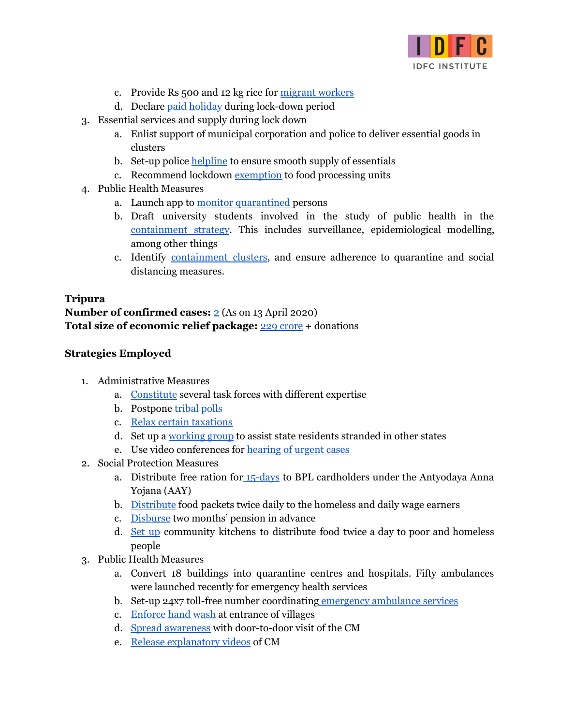

- c. Provide Rs 500 and 12 kg rice for [migrant](https://www.livemint.com/news/india/coronavirus-migrant-workers-in-telangana-to-get-rs-500-cash-and-12-kg-rice-each-11585501239262.html) workers
- d. Declare paid [holiday](https://covid-india.in/) during lock-down period
- 3. Essential services and supply during lock down
	- a. Enlist support of municipal corporation and police to deliver essential goods in clusters
	- b. Set-up police [helpline](https://telanganatoday.com/hyderabad-police-sets-up-helpline-to-ensure-smooth-movement-of-essentials) to ensure smooth supply of essentials
	- c. Recommend lockdown [exemption](https://telanganatoday.com/kcr-pitches-for-extension-of-lockdown-seeks-centres-support-to-farmers) to food processing units
- 4. Public Health Measures
	- a. Launch app to monitor [quarantined](https://www.newindianexpress.com/cities/hyderabad/2020/mar/29/telangana-to-use-app-to-monitor-quarantined-check-spread-of-covid-19-2122966.html) persons
	- b. Draft university students involved in the study of public health in the [containment](https://www.thenewsminute.com/article/telangana-govt-ropes-hyderabad-university-students-covid-19-surveillance-work-122268) strategy. This includes surveillance, epidemiological modelling, among other things
	- c. Identify [containment](https://economictimes.indiatimes.com/news/politics-and-nation/212-virus-containment-clusters-marked-in-telangana/articleshow/75087558.cms) clusters, and ensure adherence to quarantine and social distancing measures.

## <span id="page-29-0"></span>**Tripura**

**Number of confirmed cases:** [2](https://www.mohfw.gov.in/) (As on 13 April 2020) **Total size of economic relief package:** 229 [crore](https://nenow.in/north-east-news/tripura/tripura-announces-rs-229-crore-package-for-lockdown-hit-people.html) + donations

- 1. Administrative Measures
	- a. [Constitute](https://www.eastmojo.com/coronavirus-updates/2020/03/28/covid-19-tripura-govt-forms-groups-to-look-after-stranded-persons) several task forces with different expertise
	- b. Postpone [tribal](https://prsindia.org/files/covid19/notifications/1800.TR_TTAADC_March26.pdf) polls
	- c. Relax certain [taxations](https://prsindia.org/files/covid19/notifications/1803.TR_tax_ordinance_March31.pdf)
	- d. Set up a [working](https://drive.google.com/file/d/1UEBqrykFLAF7pYG4DK_YOUwcCMXVqfiW/view) group to assist state residents stranded in other states
	- e. Use video conferences for [hearing](https://www.eastmojo.com/coronavirus-updates/2020/03/24/covid-19-tripura-hc-to-hear-urgent-cases-through-video-conference) of urgent cases
- 2. Social Protection Measures
	- a. Distribute free ration for [15-days](https://www.livemint.com/news/india/coronavirus-lockdown-declared-in-assam-manipur-tripura-arunachal-nagaland-and-mizoram-11585020197207.html) to BPL cardholders under the Antyodaya Anna Yojana (AAY)
	- b. [Distribute](https://indianexpress.com/article/north-east-india/coronavirus-india-lockdown-himanta-sees-tough-task-ahead-tripura-says-fully-prepared-6331815/) food packets twice daily to the homeless and daily wage earners
	- c. [Disburse](https://indianexpress.com/article/north-east-india/coronavirus-india-lockdown-himanta-sees-tough-task-ahead-tripura-says-fully-prepared-6331815/) two months' pension in advance
	- d. [Set](https://www.hindustantimes.com/india-news/covid-19-with-fewer-cases-so-far-north-east-stays-on-maximum-alert/story-sxaeDGLf36f8yudsUfMB8H.html) up community kitchens to distribute food twice a day to poor and homeless people
- 3. Public Health Measures
	- a. Convert 18 buildings into quarantine centres and hospitals. Fifty ambulances were launched recently for emergency health services
	- b. Set-up 24x7 toll-free number coordinating emergency [ambulance](https://www.eastmojo.com/coronavirus-updates/2020/03/26/covid-19-tripura-urban-bodies-to-supply-food-to-homeless-in-state) services
	- c. [Enforce](https://www.indiatoday.in/india/story/coronavirus-in-india-outsiders-must-wash-hands-to-enter-this-village-in-tripura-1660191-2020-03-27) hand wash at entrance of villages
	- d. Spread [awareness](https://www.eastmojo.com/tripura/2020/03/17/tripura-cm-goes-door-to-door-to-spread-awareness-on-coronavirus) with door-to-door visit of the CM
	- e. Release [explanatory](https://www.business-standard.com/article/opinion/don-t-put-the-gamchha-down-tripura-cm-s-advice-to-fight-coronavirus-120032901185_1.html) videos of CM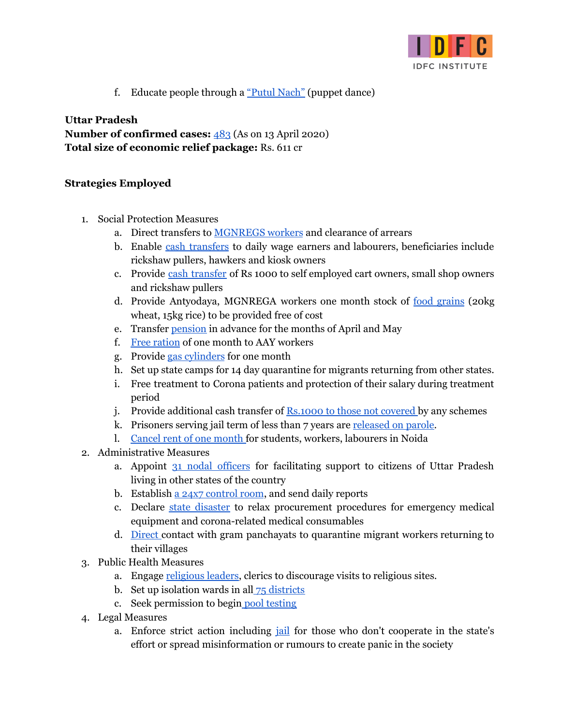

f. Educate people through a ["Putul](https://www.hindustantimes.com/it-s-viral/puppets-used-to-spread-awareness-about-coronavirus-by-artists-in-tripura/story-uE4uLgWzJaKTkaRsj4VISP.html) Nach" (puppet dance)

## <span id="page-30-0"></span>**Uttar Pradesh Number of confirmed cases:** [483](https://www.mohfw.gov.in/) (As on 13 April 2020) **Total size of economic relief package:** Rs. 611 cr

- 1. Social Protection Measures
	- a. Direct transfers to [MGNREGS](https://news.abplive.com/news/india/coronavirus-in-india-live-updates-covid-19-total-cases-india-lockdown-narendra-modi-1180287) workers and clearance of arrears
	- b. Enable cash [transfers](https://www.business-standard.com/article/current-affairs/up-to-kerala-how-states-are-helping-the-poor-amidst-coronavirus-outbreak-120032400344_1.html) to daily wage earners and labourers, beneficiaries include rickshaw pullers, hawkers and kiosk owners
	- c. Provide cash [transfer](https://www.business-standard.com/article/current-affairs/up-to-kerala-how-states-are-helping-the-poor-amidst-coronavirus-outbreak-120032400344_1.html) of Rs 1000 to self employed cart owners, small shop owners and rickshaw pullers
	- d. Provide Antyodaya, MGNREGA workers one month stock of food [grains](https://economictimes.indiatimes.com/news/politics-and-nation/yogi-adityanath-announces-relief-measures-for-ups-daily-wage-earners/articleshow/74744711.cms) (20kg wheat, 15kg rice) to be provided free of cost
	- e. Transfer [pension](https://economictimes.indiatimes.com/news/politics-and-nation/yogi-adityanath-announces-relief-measures-for-ups-daily-wage-earners/articleshow/74744711.cms) in advance for the months of April and May
	- f. Free [ration](https://economictimes.indiatimes.com/news/politics-and-nation/yogi-adityanath-announces-relief-measures-for-ups-daily-wage-earners/articleshow/74744711.cms) of one month to AAY [workers](https://economictimes.indiatimes.com/news/politics-and-nation/yogi-adityanath-announces-relief-measures-for-ups-daily-wage-earners/articleshow/74744711.cms)
	- g. Provide gas [cylinders](https://www.republicworld.com/india-news/politics/up-cm-directs-bjp-workers-to-spread-awareness-of-govts-relief-measure.html) for one month
	- h. Set up state camps for 14 day quarantine for migrants returning from other states.
	- i. Free treatment to Corona patients and protection of their salary during treatment period
	- j. Provide additional cash transfer of [Rs.1000](https://www.newindianexpress.com/nation/2020/mar/24/covid-19-cm-yogi-releases-first-instalment-of-rs-1000-each-for-20-lakh-daily-wagers-2120992.html) to those not covered by any schemes
	- k. Prisoners serving jail term of less than 7 years are [released](https://www.indiatoday.in/india/story/uttar-pradesh-to-release-11-000-jail-inmates-on-bail-or-parole-as-covid-19-cases-surge-1660910-2020-03-29) on parole.
	- l. [Cancel](https://www.99acres.com/articles/noida-no-rent-from-labourers-for-a-month-amid-covid-19-nid.html) rent of one month for students, workers, labourers in Noida
- 2. Administrative Measures
	- a. Appoint 31 nodal [officers](https://www.republicworld.com/india-news/politics/up-cm-directs-bjp-workers-to-spread-awareness-of-govts-relief-measure.html) for facilitating support to citizens of Uttar Pradesh living in other states of the country
	- b. Establish a 24x7 [control](https://economictimes.indiatimes.com/news/politics-and-nation/up-cm-sets-up-integrated-emergency-control-centre-in-lucknow-asks-dms-to-replicate-measure/articleshow/75012319.cms) room, and send daily reports
	- c. Declare state [disaster](https://theprint.in/health/uttar-pradesh-government-declares-coronavirus-pandemic-a-state-disaster/387440/) to relax procurement procedures for emergency medical equipment and corona-related medical consumables
	- d. [Direct](https://www.indiatoday.in/india/story/total-number-of-covid-19-cases-rises-to-68-in-uttar-pradesh-1661054-2020-03-29) contact with gram panchayats to quarantine migrant workers returning to their villages
- 3. Public Health Measures
	- a. Engage [religious](https://www.livemint.com/news/india/uttar-pradesh-govt-postpones-all-religious-activities-in-the-state-11584720520856.html) leaders, clerics to discourage visits to religious sites.
	- b. Set up isolation wards in all 75 [districts](https://timesofindia.indiatimes.com/city/lucknow/coronavirus-in-uttar-pradesh-cm-yogi-adityanath-releases-video-to-create-awareness/articleshow/74694687.cms)
	- c. Seek permission to begin pool [testing](https://economictimes.indiatimes.com/news/politics-and-nation/uttar-pradesh-to-start-pool-testing-for-covid-19-to-expedite-process/articleshow/75122742.cms)
- 4. Legal Measures
	- a. Enforce strict action including [jail](https://www.indiatoday.in/india/story/refusing-coronavirus-tests-can-lead-to-jail-time-up-health-minister-1656238-2020-03-17) for those who don't cooperate in the state's effort or spread misinformation or rumours to create panic in the society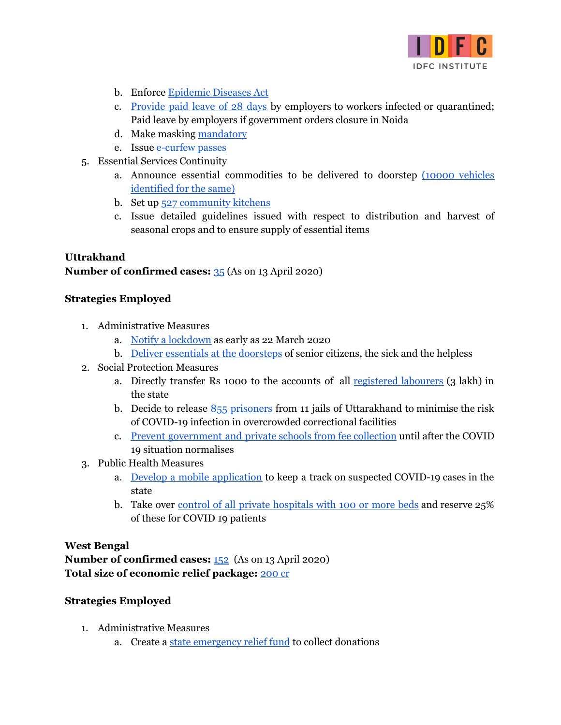

- b. Enforce [Epidemic](https://www.business-standard.com/article/current-affairs/900-000-people-under-complete-lockdown-as-up-seals-more-covid-19-hotspots-120041100991_1.html) Diseases Act
- c. [Provide](https://news.abplive.com/news/india/coronavirus-noida-28-day-paid-leave-for-all-covid-19-patients-factory-shop-workers-daily-wages-lockdown-1184450) paid leave of 28 days by employers to workers infected or quarantined; Paid leave by employers if government orders closure in Noida
- d. Make masking [mandatory](https://www.indiatoday.in/india/story/coronavirus-lockdown-uttar-pradesh-to-completely-seal-15-districts-till-april-13-1664677-2020-04-08)
- e. Issue [e-curfew](https://www.indiatoday.in/india/story/coronavirus-lockdown-uttar-pradesh-to-completely-seal-15-districts-till-april-13-1664677-2020-04-08) passes
- 5. Essential Services Continuity
	- a. Announce essential commodities to be delivered to doorstep (10000 [vehicles](https://economictimes.indiatimes.com/news/politics-and-nation/coronavirus-uttar-pradesh-to-use-10000-vehicles-to-deliver-food-and-grocery-at-peoples-doorsteps-amid-lockdown/articleshow/74800284.cms) [identified](https://economictimes.indiatimes.com/news/politics-and-nation/coronavirus-uttar-pradesh-to-use-10000-vehicles-to-deliver-food-and-grocery-at-peoples-doorsteps-amid-lockdown/articleshow/74800284.cms) for the same)
	- b. Set up 527 [community](https://economictimes.indiatimes.com/news/politics-and-nation/covid-19-up-distributes-foodgrains-to-1-95-crore-ration-card-holders-sets-up-527-community-kitchens/articleshow/74867725.cms) kitchens
	- c. Issue detailed guidelines issued with respect to distribution and harvest of seasonal crops and to ensure supply of essential items

## <span id="page-31-0"></span>**Uttrakhand**

## **Number of confirmed cases:** [35](https://www.mohfw.gov.in/) (As on 13 April 2020)

#### **Strategies Employed**

- 1. Administrative Measures
	- a. Notify a [lockdown](https://static.mygov.in/rest/s3fs-public/mygov_158511543151307401.pdf) as early as 22 March 2020
	- b. Deliver essentials at the [doorsteps](https://www.outlookindia.com/newsscroll/senior-citizens-to-get-doorstep-delivery-of-essentials-in-ukhand/1780761) of senior citizens, the sick and the helpless
- 2. Social Protection Measures
	- a. Directly transfer Rs 1000 to the accounts of all [registered](https://www.hindustantimes.com/india-news/coronavirus-outbreak-uttarakhand-to-give-500-to-over-3-lakh-daily-wage-workers-facing-loss-of-work/story-K30Nyp3J9H4p07LTjSNuMO.html) labourers (3 lakh) in the state
	- b. Decide to release 855 [prisoners](https://www.newindianexpress.com/nation/2020/mar/29/covid-19-uttarakhand-to-release-855-prisoners-on-parole-2123091.html) from 11 jails of Uttarakhand to minimise the risk of COVID-19 infection in overcrowded correctional facilities
	- c. Prevent [government](https://www.indiatoday.in/education-today/news/story/uttarakhand-bars-govt-private-schools-from-fee-collection-covid-19-lockdown-1659807-2020-03-26) and private schools from fee collection until after the COVID 19 situation normalises
- 3. Public Health Measures
	- a. Develop a mobile [application](https://www.hindustantimes.com/dehradun/uttarakhand-govt-develops-app-to-track-covid-19-cases-to-set-up-two-medical-colleges/story-Sg0oREfPbl87OP1pMPFlfP.html) to keep a track on suspected COVID-19 cases in the state
	- b. Take over control of all private [hospitals](https://www.indiatoday.in/india/story/uttarakhand-government-private-hospitals-coronavirus-1658985-2020-03-24) with 100 or more beds and reserve 25% of these for COVID 19 patients

## <span id="page-31-1"></span>**West Bengal**

**Number of confirmed cases:** [152](https://www.mohfw.gov.in/) (As on 13 April 2020) **Total size of economic relief package:** [200](https://www.orfonline.org/expert-speak/the-covid-19-emergency-in-west-bengal-healthcare-infrastructure-and-risks-of-in-migration-63456/) cr

- 1. Administrative Measures
	- a. Create a state [emergency](https://prsindia.org/files/covid19/notifications/1151.WB_State_Emergency_Fund_2_March_28.pdf) relief fund to collect donations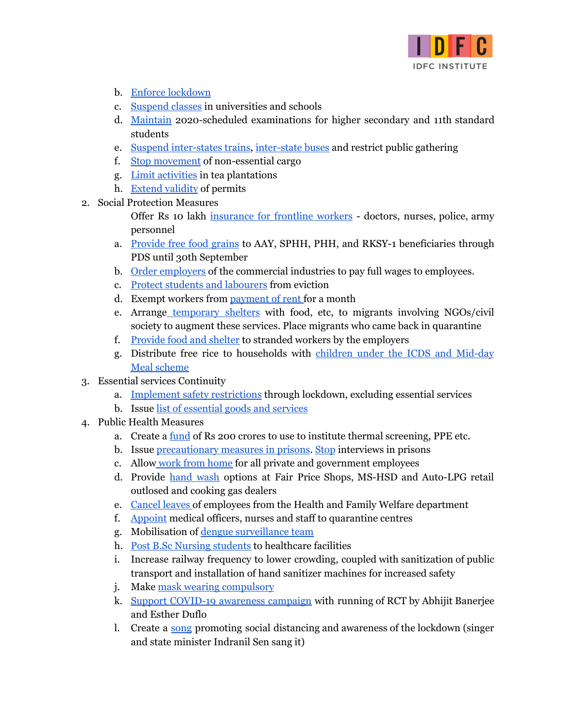

- b. Enforce [lockdown](https://www.businessinsider.in/politics/india/news/coranavirus-cases-in-west-bengal-news-and-updates/articleshow/74773834.cms)
- c. [Suspend](https://prsindia.org/files/covid19/notifications/345.WB_Suspension_of_Classes_Mar_14.pdf) classes in universities and schools
- d. [Maintain](https://prsindia.org/files/covid19/notifications/349.WB_Higher_Secondary_Examination_Mar_14.pdf) 2020-scheduled examinations for higher secondary and 11th standard students
- e. Suspend [inter-states](https://prsindia.org/files/covid19/notifications/1154.WB_Stoppage_trains_March_21.pdf) trains, [inter-state](https://prsindia.org/files/covid19/notifications/387.WB_Suspension_of_Interstate_Bus_Service_Mar_21.pdf) buses and restrict public gathering
- f. Stop [movement](https://prsindia.org/files/covid19/notifications/386.WB_Suspension_of_Non_Essential_Cargo_Mar_22.pdf) of non-essential cargo
- g. Limit [activities](https://prsindia.org/files/covid19/notifications/1164.WB_Lockdown_Exemption_Tea_Gardens_March_28.pdf) in tea plantations
- h. Extend [validity](https://prsindia.org/files/covid19/notifications/1155.WB_MV_Act_Extension_March_31.pdf) of permits
- 2. Social Protection Measures

Offer Rs 10 lakh [insurance](https://www.business-standard.com/article/news-ani/combating-covid-19-west-bengal-increases-insurance-coverage-from-rs-5-lakh-to-rs-10-lakh-120033001697_1.html) for frontline workers - doctors, nurses, police, army personnel

- a. [Provide](https://prsindia.org/files/covid19/notifications/1149.WB_PDS_Entitlement_March_26.pdf) free food grains to AAY, SPHH, PHH, and RKSY-1 beneficiaries through PDS until 30th September
- b. Order [employers](https://prsindia.org/files/covid19/notifications/1156.WB_Arrangement_for_Migrant_Workers_March_29.pdf) of the commercial industries to pay full wages to employees.
- c. Protect students and [labourers](https://prsindia.org/files/covid19/notifications/1156.WB_Arrangement_for_Migrant_Workers_March_29.pdf) from eviction
- d. Exempt workers from [payment](https://prsindia.org/files/covid19/notifications/1156.WB_Arrangement_for_Migrant_Workers_March_29.pdf) of rent for a month
- e. Arrange [temporary](https://prsindia.org/files/covid19/notifications/1156.WB_Arrangement_for_Migrant_Workers_March_29.pdf) shelters with food, etc, to migrants involving NGOs/civil society to augment these services. Place migrants who came back in quarantine
- f. [Provide](https://prsindia.org/files/covid19/notifications/1168.WB_Measures_for_Stranded_Workers_March_27.pdf) food and shelter to stranded workers by the employers
- g. Distribute free rice to households with children under the ICDS and [Mid-day](https://www.business-standard.com/article/current-affairs/coronavirus-bengal-cm-announces-kolkata-lockdown-free-ration-for-6-months-120032201263_1.html) Meal [scheme](https://www.business-standard.com/article/current-affairs/coronavirus-bengal-cm-announces-kolkata-lockdown-free-ration-for-6-months-120032201263_1.html)
- 3. Essential services Continuity
	- a. Implement safety [restrictions](https://prsindia.org/files/covid19/notifications/379.WB_Complete_Safety_Restrictions_Mar_22.pdf) through lockdown, excluding essential services
	- b. Issue list of [essential](https://prsindia.org/files/covid19/notifications/1159.WB_Essential_Goods_March_27.pdf) goods and services
- 4. Public Health Measures
	- a. Create a [fund](https://mumbaimirror.indiatimes.com/news/india/west-bengal-government-creates-rs-200-fund-for-coronavirus-prevention-measures/articleshow/74655846.cms) of Rs 200 crores to use to institute thermal screening, PPE etc.
	- b. Issue [precautionary](https://prsindia.org/files/covid19/notifications/383.WB_Precautionary_Measures_for_Correctional_Facilities_Mar_16.pdf) measures in prisons. [Stop](https://prsindia.org/files/covid19/notifications/384.WB_Interviews_for_Prisoners_Ceased_Mar_20.pdf) interviews in prisons
	- c. Allow work from [home](https://prsindia.org/files/covid19/notifications/380.WB_Pvt_and_Govt_Employees_Remain_Home_Mar_22.pdf) for all private and government employees
	- d. Provide [hand](https://prsindia.org/files/covid19/notifications/344.WB_Hygeinity_Guidelines_for_Fair_Price_Shops_etc_Mar_18.pdf) wash options at Fair Price Shops, MS-HSD and Auto-LPG retail outlosed and cooking gas dealers
	- e. [Cancel](https://prsindia.org/files/covid19/notifications/370.WB_Leave_Cancelled_Mar_20.pdf) leaves of employees from the Health and Family Welfare department
	- f. [Appoint](https://prsindia.org/files/covid19/notifications/366.WB_Posting_Mar_23.pdf) medical officers, nurses and staff to quarantine centres
	- g. Mobilisation of dengue [surveillance](https://www.thehindu.com/news/national/other-states/west-bengal-govt-adopts-containment-strategies-for-covid-19-high-risk-spots/article31344740.ece) team
	- h. Post B.Sc Nursing [students](https://prsindia.org/files/covid19/notifications/356.WB_Posting_of_Nursing_Students_Mar_26.pdf) to healthcare facilities
	- i. Increase railway frequency to lower crowding, coupled with sanitization of public transport and installation of hand sanitizer machines for increased safety
	- j. Make mask wearing [compulsory](https://www.livemint.com/news/world/covid-19-west-bengal-government-makes-wearing-mask-compulsory-in-public-places-11586707315207.html)
	- k. Support COVID-19 [awareness](https://www.businessinsider.in/politics/india/news/coranavirus-cases-in-west-bengal-news-and-updates/articleshow/74773834.cms) campaign with running of RCT by Abhijit Banerjee and Esther Duflo
	- l. Create a [song](https://www.businessinsider.in/politics/india/news/coranavirus-cases-in-west-bengal-news-and-updates/articleshow/74773834.cms) promoting social distancing and awareness of the lockdown (singer and state minister Indranil Sen sang it)